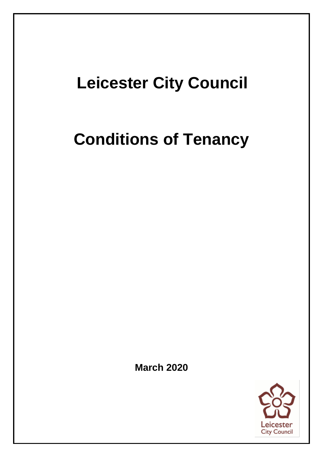## **Leicester City Council**

## **Conditions of Tenancy**

**March 2020**

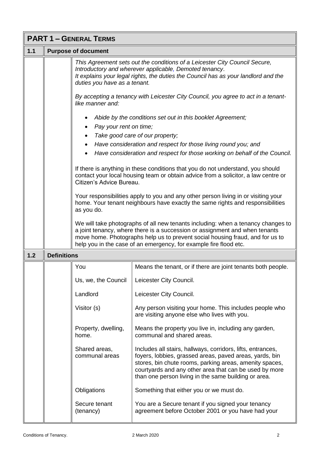|       | <b>PART 1 - GENERAL TERMS</b> |                                     |                                                                                                                                                                                                                                                                                                                       |  |
|-------|-------------------------------|-------------------------------------|-----------------------------------------------------------------------------------------------------------------------------------------------------------------------------------------------------------------------------------------------------------------------------------------------------------------------|--|
| $1.1$ |                               | <b>Purpose of document</b>          |                                                                                                                                                                                                                                                                                                                       |  |
|       |                               | duties you have as a tenant.        | This Agreement sets out the conditions of a Leicester City Council Secure,<br>Introductory and wherever applicable, Demoted tenancy.<br>It explains your legal rights, the duties the Council has as your landlord and the                                                                                            |  |
|       |                               | like manner and:                    | By accepting a tenancy with Leicester City Council, you agree to act in a tenant-                                                                                                                                                                                                                                     |  |
|       |                               |                                     | Abide by the conditions set out in this booklet Agreement;                                                                                                                                                                                                                                                            |  |
|       |                               | Pay your rent on time;<br>$\bullet$ |                                                                                                                                                                                                                                                                                                                       |  |
|       |                               |                                     | Take good care of our property;                                                                                                                                                                                                                                                                                       |  |
|       |                               | ٠                                   | Have consideration and respect for those living round you; and                                                                                                                                                                                                                                                        |  |
|       |                               | $\bullet$                           | Have consideration and respect for those working on behalf of the Council.                                                                                                                                                                                                                                            |  |
|       |                               | Citizen's Advice Bureau.            | If there is anything in these conditions that you do not understand, you should<br>contact your local housing team or obtain advice from a solicitor, a law centre or                                                                                                                                                 |  |
|       |                               | as you do.                          | Your responsibilities apply to you and any other person living in or visiting your<br>home. Your tenant neighbours have exactly the same rights and responsibilities                                                                                                                                                  |  |
|       |                               |                                     | We will take photographs of all new tenants including: when a tenancy changes to<br>a joint tenancy, where there is a succession or assignment and when tenants<br>move home. Photographs help us to prevent social housing fraud, and for us to<br>help you in the case of an emergency, for example fire flood etc. |  |
| 1.2   | <b>Definitions</b>            |                                     |                                                                                                                                                                                                                                                                                                                       |  |
|       |                               | You                                 | Means the tenant, or if there are joint tenants both people.                                                                                                                                                                                                                                                          |  |
|       |                               | Us, we, the Council                 | Leicester City Council.                                                                                                                                                                                                                                                                                               |  |
|       |                               | Landlord                            | Leicester City Council.                                                                                                                                                                                                                                                                                               |  |
|       |                               | Visitor (s)                         | Any person visiting your home. This includes people who<br>are visiting anyone else who lives with you.                                                                                                                                                                                                               |  |
|       |                               | Property, dwelling,<br>home.        | Means the property you live in, including any garden,<br>communal and shared areas.                                                                                                                                                                                                                                   |  |
|       |                               | Shared areas,<br>communal areas     | Includes all stairs, hallways, corridors, lifts, entrances,<br>foyers, lobbies, grassed areas, paved areas, yards, bin<br>stores, bin chute rooms, parking areas, amenity spaces,<br>courtyards and any other area that can be used by more<br>than one person living in the same building or area.                   |  |
|       |                               | Obligations                         | Something that either you or we must do.                                                                                                                                                                                                                                                                              |  |
|       |                               | Secure tenant<br>(tenancy)          | You are a Secure tenant if you signed your tenancy<br>agreement before October 2001 or you have had your                                                                                                                                                                                                              |  |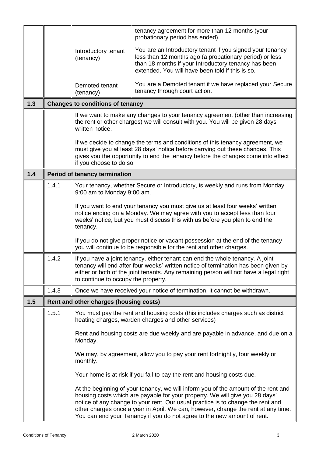|     |       |                                         | tenancy agreement for more than 12 months (your<br>probationary period has ended).                                                                                                                                                                                                                                                                                                                                    |
|-----|-------|-----------------------------------------|-----------------------------------------------------------------------------------------------------------------------------------------------------------------------------------------------------------------------------------------------------------------------------------------------------------------------------------------------------------------------------------------------------------------------|
|     |       | Introductory tenant<br>(tenancy)        | You are an Introductory tenant if you signed your tenancy<br>less than 12 months ago (a probationary period) or less<br>than 18 months if your Introductory tenancy has been<br>extended. You will have been told if this is so.                                                                                                                                                                                      |
|     |       | Demoted tenant<br>(tenancy)             | You are a Demoted tenant if we have replaced your Secure<br>tenancy through court action.                                                                                                                                                                                                                                                                                                                             |
| 1.3 |       | <b>Changes to conditions of tenancy</b> |                                                                                                                                                                                                                                                                                                                                                                                                                       |
|     |       | written notice.                         | If we want to make any changes to your tenancy agreement (other than increasing<br>the rent or other charges) we will consult with you. You will be given 28 days                                                                                                                                                                                                                                                     |
|     |       | if you choose to do so.                 | If we decide to change the terms and conditions of this tenancy agreement, we<br>must give you at least 28 days' notice before carrying out these changes. This<br>gives you the opportunity to end the tenancy before the changes come into effect                                                                                                                                                                   |
| 1.4 |       | <b>Period of tenancy termination</b>    |                                                                                                                                                                                                                                                                                                                                                                                                                       |
|     | 1.4.1 | 9:00 am to Monday 9:00 am.              | Your tenancy, whether Secure or Introductory, is weekly and runs from Monday                                                                                                                                                                                                                                                                                                                                          |
|     |       | tenancy.                                | If you want to end your tenancy you must give us at least four weeks' written<br>notice ending on a Monday. We may agree with you to accept less than four<br>weeks' notice, but you must discuss this with us before you plan to end the                                                                                                                                                                             |
|     |       |                                         | If you do not give proper notice or vacant possession at the end of the tenancy<br>you will continue to be responsible for the rent and other charges.                                                                                                                                                                                                                                                                |
|     | 1.4.2 | to continue to occupy the property.     | If you have a joint tenancy, either tenant can end the whole tenancy. A joint<br>tenancy will end after four weeks' written notice of termination has been given by<br>either or both of the joint tenants. Any remaining person will not have a legal right                                                                                                                                                          |
|     | 1.4.3 |                                         | Once we have received your notice of termination, it cannot be withdrawn.                                                                                                                                                                                                                                                                                                                                             |
| 1.5 |       | Rent and other charges (housing costs)  |                                                                                                                                                                                                                                                                                                                                                                                                                       |
|     | 1.5.1 |                                         | You must pay the rent and housing costs (this includes charges such as district<br>heating charges, warden charges and other services)                                                                                                                                                                                                                                                                                |
|     |       | Monday.                                 | Rent and housing costs are due weekly and are payable in advance, and due on a                                                                                                                                                                                                                                                                                                                                        |
|     |       | monthly.                                | We may, by agreement, allow you to pay your rent fortnightly, four weekly or                                                                                                                                                                                                                                                                                                                                          |
|     |       |                                         | Your home is at risk if you fail to pay the rent and housing costs due.                                                                                                                                                                                                                                                                                                                                               |
|     |       |                                         | At the beginning of your tenancy, we will inform you of the amount of the rent and<br>housing costs which are payable for your property. We will give you 28 days'<br>notice of any change to your rent. Our usual practice is to change the rent and<br>other charges once a year in April. We can, however, change the rent at any time.<br>You can end your Tenancy if you do not agree to the new amount of rent. |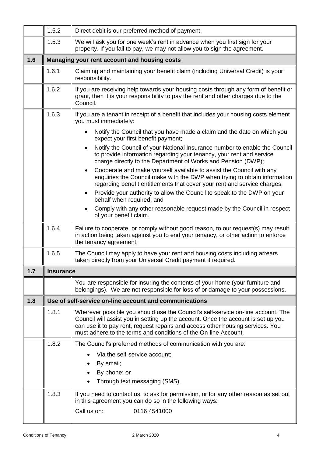|     | 1.5.2            | Direct debit is our preferred method of payment.                                                                                                                                                                                                                                                                           |  |  |
|-----|------------------|----------------------------------------------------------------------------------------------------------------------------------------------------------------------------------------------------------------------------------------------------------------------------------------------------------------------------|--|--|
|     | 1.5.3            | We will ask you for one week's rent in advance when you first sign for your<br>property. If you fail to pay, we may not allow you to sign the agreement.                                                                                                                                                                   |  |  |
| 1.6 |                  | Managing your rent account and housing costs                                                                                                                                                                                                                                                                               |  |  |
|     | 1.6.1            | Claiming and maintaining your benefit claim (including Universal Credit) is your<br>responsibility.                                                                                                                                                                                                                        |  |  |
|     | 1.6.2            | If you are receiving help towards your housing costs through any form of benefit or<br>grant, then it is your responsibility to pay the rent and other charges due to the<br>Council.                                                                                                                                      |  |  |
|     | 1.6.3            | If you are a tenant in receipt of a benefit that includes your housing costs element<br>you must immediately:                                                                                                                                                                                                              |  |  |
|     |                  | Notify the Council that you have made a claim and the date on which you<br>expect your first benefit payment;                                                                                                                                                                                                              |  |  |
|     |                  | Notify the Council of your National Insurance number to enable the Council<br>to provide information regarding your tenancy, your rent and service<br>charge directly to the Department of Works and Pension (DWP);                                                                                                        |  |  |
|     |                  | Cooperate and make yourself available to assist the Council with any<br>enquiries the Council make with the DWP when trying to obtain information<br>regarding benefit entitlements that cover your rent and service charges;                                                                                              |  |  |
|     |                  | Provide your authority to allow the Council to speak to the DWP on your<br>$\bullet$<br>behalf when required; and                                                                                                                                                                                                          |  |  |
|     |                  | Comply with any other reasonable request made by the Council in respect<br>of your benefit claim.                                                                                                                                                                                                                          |  |  |
|     | 1.6.4            | Failure to cooperate, or comply without good reason, to our request(s) may result<br>in action being taken against you to end your tenancy, or other action to enforce<br>the tenancy agreement.                                                                                                                           |  |  |
|     | 1.6.5            | The Council may apply to have your rent and housing costs including arrears<br>taken directly from your Universal Credit payment if required.                                                                                                                                                                              |  |  |
| 1.7 | <b>Insurance</b> |                                                                                                                                                                                                                                                                                                                            |  |  |
|     |                  | You are responsible for insuring the contents of your home (your furniture and<br>belongings). We are not responsible for loss of or damage to your possessions.                                                                                                                                                           |  |  |
| 1.8 |                  | Use of self-service on-line account and communications                                                                                                                                                                                                                                                                     |  |  |
|     | 1.8.1            | Wherever possible you should use the Council's self-service on-line account. The<br>Council will assist you in setting up the account. Once the account is set up you<br>can use it to pay rent, request repairs and access other housing services. You<br>must adhere to the terms and conditions of the On-line Account. |  |  |
|     | 1.8.2            | The Council's preferred methods of communication with you are:                                                                                                                                                                                                                                                             |  |  |
|     |                  | Via the self-service account;                                                                                                                                                                                                                                                                                              |  |  |
|     |                  | By email;                                                                                                                                                                                                                                                                                                                  |  |  |
|     |                  | By phone; or<br>Through text messaging (SMS).                                                                                                                                                                                                                                                                              |  |  |
|     |                  |                                                                                                                                                                                                                                                                                                                            |  |  |
|     | 1.8.3            | If you need to contact us, to ask for permission, or for any other reason as set out<br>in this agreement you can do so in the following ways:                                                                                                                                                                             |  |  |
|     |                  | Call us on:<br>0116 4541000                                                                                                                                                                                                                                                                                                |  |  |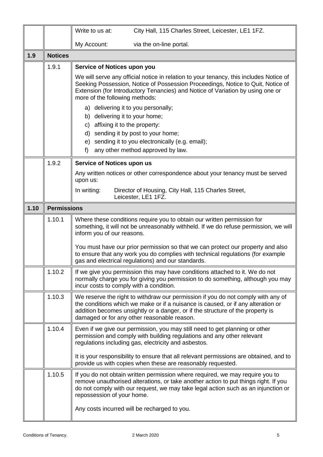|      |                    | Write to us at:                                                                                               | City Hall, 115 Charles Street, Leicester, LE1 1FZ.                                                                                                                                                                                                                                                    |
|------|--------------------|---------------------------------------------------------------------------------------------------------------|-------------------------------------------------------------------------------------------------------------------------------------------------------------------------------------------------------------------------------------------------------------------------------------------------------|
|      |                    | My Account:                                                                                                   | via the on-line portal.                                                                                                                                                                                                                                                                               |
| 1.9  | <b>Notices</b>     |                                                                                                               |                                                                                                                                                                                                                                                                                                       |
|      | 1.9.1              | Service of Notices upon you<br>more of the following methods:                                                 | We will serve any official notice in relation to your tenancy, this includes Notice of<br>Seeking Possession, Notice of Possession Proceedings, Notice to Quit, Notice of<br>Extension (for Introductory Tenancies) and Notice of Variation by using one or                                           |
|      |                    | a) delivering it to you personally;<br>b) delivering it to your home;<br>c) affixing it to the property:<br>f | d) sending it by post to your home;<br>e) sending it to you electronically (e.g. email);<br>any other method approved by law.                                                                                                                                                                         |
|      | 1.9.2              | Service of Notices upon us                                                                                    |                                                                                                                                                                                                                                                                                                       |
|      |                    | upon us:                                                                                                      | Any written notices or other correspondence about your tenancy must be served                                                                                                                                                                                                                         |
|      |                    | In writing:                                                                                                   | Director of Housing, City Hall, 115 Charles Street,<br>Leicester, LE1 1FZ.                                                                                                                                                                                                                            |
| 1.10 | <b>Permissions</b> |                                                                                                               |                                                                                                                                                                                                                                                                                                       |
|      | 1.10.1             | inform you of our reasons.                                                                                    | Where these conditions require you to obtain our written permission for<br>something, it will not be unreasonably withheld. If we do refuse permission, we will<br>You must have our prior permission so that we can protect our property and also                                                    |
|      |                    |                                                                                                               | to ensure that any work you do complies with technical regulations (for example<br>gas and electrical regulations) and our standards.                                                                                                                                                                 |
|      | 1.10.2             | incur costs to comply with a condition.                                                                       | If we give you permission this may have conditions attached to it. We do not<br>normally charge you for giving you permission to do something, although you may                                                                                                                                       |
|      | 1.10.3             |                                                                                                               | We reserve the right to withdraw our permission if you do not comply with any of<br>the conditions which we make or if a nuisance is caused, or if any alteration or<br>addition becomes unsightly or a danger, or if the structure of the property is<br>damaged or for any other reasonable reason. |
|      | 1.10.4             |                                                                                                               | Even if we give our permission, you may still need to get planning or other<br>permission and comply with building regulations and any other relevant<br>regulations including gas, electricity and asbestos.                                                                                         |
|      |                    |                                                                                                               | It is your responsibility to ensure that all relevant permissions are obtained, and to<br>provide us with copies when these are reasonably requested.                                                                                                                                                 |
|      | 1.10.5             | repossession of your home.                                                                                    | If you do not obtain written permission where required, we may require you to<br>remove unauthorised alterations, or take another action to put things right. If you<br>do not comply with our request, we may take legal action such as an injunction or                                             |
|      |                    |                                                                                                               | Any costs incurred will be recharged to you.                                                                                                                                                                                                                                                          |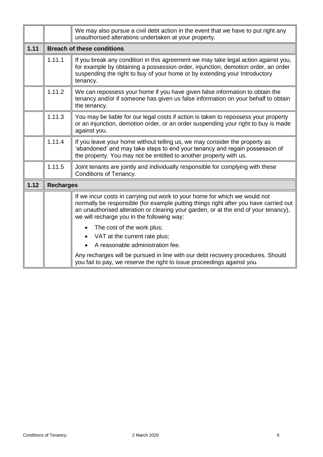|      |                  | We may also pursue a civil debt action in the event that we have to put right any<br>unauthorised alterations undertaken at your property.                                                                                                                                                              |  |  |
|------|------------------|---------------------------------------------------------------------------------------------------------------------------------------------------------------------------------------------------------------------------------------------------------------------------------------------------------|--|--|
| 1.11 |                  | <b>Breach of these conditions</b>                                                                                                                                                                                                                                                                       |  |  |
|      | 1.11.1           | If you break any condition in this agreement we may take legal action against you,<br>for example by obtaining a possession order, injunction, demotion order, an order<br>suspending the right to buy of your home or by extending your Introductory<br>tenancy.                                       |  |  |
|      | 1.11.2           | We can repossess your home if you have given false information to obtain the<br>tenancy and/or if someone has given us false information on your behalf to obtain<br>the tenancy.                                                                                                                       |  |  |
|      | 1.11.3           | You may be liable for our legal costs if action is taken to repossess your property<br>or an injunction, demotion order, or an order suspending your right to buy is made<br>against you.                                                                                                               |  |  |
|      | 1.11.4           | If you leave your home without telling us, we may consider the property as<br>'abandoned' and may take steps to end your tenancy and regain possession of<br>the property. You may not be entitled to another property with us.                                                                         |  |  |
|      | 1.11.5           | Joint tenants are jointly and individually responsible for complying with these<br>Conditions of Tenancy.                                                                                                                                                                                               |  |  |
| 1.12 | <b>Recharges</b> |                                                                                                                                                                                                                                                                                                         |  |  |
|      |                  | If we incur costs in carrying out work to your home for which we would not<br>normally be responsible (for example putting things right after you have carried out<br>an unauthorised alteration or clearing your garden, or at the end of your tenancy),<br>we will recharge you in the following way: |  |  |
|      |                  | The cost of the work plus;<br>VAT at the current rate plus;<br>A reasonable administration fee.                                                                                                                                                                                                         |  |  |
|      |                  | Any recharges will be pursued in line with our debt recovery procedures. Should<br>you fail to pay, we reserve the right to issue proceedings against you.                                                                                                                                              |  |  |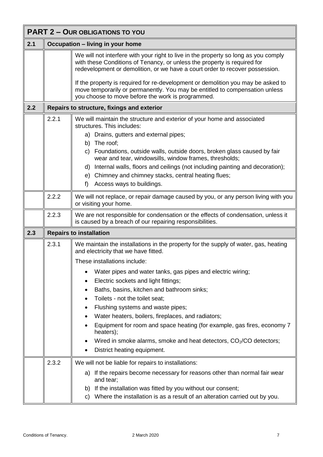| <b>PART 2 - OUR OBLIGATIONS TO YOU</b> |                                  |                                                                                                                                                                                                                                                                                                        |  |
|----------------------------------------|----------------------------------|--------------------------------------------------------------------------------------------------------------------------------------------------------------------------------------------------------------------------------------------------------------------------------------------------------|--|
| 2.1                                    | Occupation - living in your home |                                                                                                                                                                                                                                                                                                        |  |
|                                        |                                  | We will not interfere with your right to live in the property so long as you comply<br>with these Conditions of Tenancy, or unless the property is required for<br>redevelopment or demolition, or we have a court order to recover possession.                                                        |  |
|                                        |                                  | If the property is required for re-development or demolition you may be asked to<br>move temporarily or permanently. You may be entitled to compensation unless<br>you choose to move before the work is programmed.                                                                                   |  |
| 2.2                                    |                                  | Repairs to structure, fixings and exterior                                                                                                                                                                                                                                                             |  |
|                                        | 2.2.1                            | We will maintain the structure and exterior of your home and associated<br>structures. This includes:<br>a) Drains, gutters and external pipes;<br>b) The roof;<br>c) Foundations, outside walls, outside doors, broken glass caused by fair<br>wear and tear, windowsills, window frames, thresholds; |  |
|                                        |                                  | d) Internal walls, floors and ceilings (not including painting and decoration);<br>e) Chimney and chimney stacks, central heating flues;<br>f)<br>Access ways to buildings.                                                                                                                            |  |
|                                        | 2.2.2                            | We will not replace, or repair damage caused by you, or any person living with you<br>or visiting your home.                                                                                                                                                                                           |  |
|                                        | 2.2.3                            | We are not responsible for condensation or the effects of condensation, unless it<br>is caused by a breach of our repairing responsibilities.                                                                                                                                                          |  |
| 2.3                                    |                                  | <b>Repairs to installation</b>                                                                                                                                                                                                                                                                         |  |
|                                        | 2.3.1                            | We maintain the installations in the property for the supply of water, gas, heating<br>and electricity that we have fitted.                                                                                                                                                                            |  |
|                                        |                                  | These installations include:                                                                                                                                                                                                                                                                           |  |
|                                        |                                  | Water pipes and water tanks, gas pipes and electric wiring;<br>Electric sockets and light fittings;<br>Baths, basins, kitchen and bathroom sinks;<br>Toilets - not the toilet seat;<br>٠<br>Flushing systems and waste pipes;<br>٠<br>Water heaters, boilers, fireplaces, and radiators;<br>٠          |  |
|                                        |                                  | Equipment for room and space heating (for example, gas fires, economy 7<br>heaters);<br>Wired in smoke alarms, smoke and heat detectors, CO <sub>2</sub> /CO detectors;<br>District heating equipment.<br>٠                                                                                            |  |
|                                        | 2.3.2                            | We will not be liable for repairs to installations:<br>a) If the repairs become necessary for reasons other than normal fair wear<br>and tear;<br>b) If the installation was fitted by you without our consent;<br>c) Where the installation is as a result of an alteration carried out by you.       |  |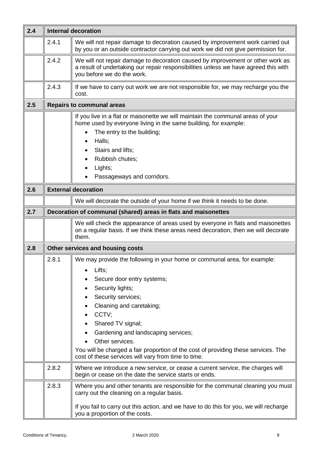| 2.4 | <b>Internal decoration</b> |                                                                                                                                                                                                                                                                                                                                                                                                                                                    |  |  |
|-----|----------------------------|----------------------------------------------------------------------------------------------------------------------------------------------------------------------------------------------------------------------------------------------------------------------------------------------------------------------------------------------------------------------------------------------------------------------------------------------------|--|--|
|     | 2.4.1                      | We will not repair damage to decoration caused by improvement work carried out<br>by you or an outside contractor carrying out work we did not give permission for.                                                                                                                                                                                                                                                                                |  |  |
|     | 2.4.2                      | We will not repair damage to decoration caused by improvement or other work as<br>a result of undertaking our repair responsibilities unless we have agreed this with<br>you before we do the work.                                                                                                                                                                                                                                                |  |  |
|     | 2.4.3                      | If we have to carry out work we are not responsible for, we may recharge you the<br>cost.                                                                                                                                                                                                                                                                                                                                                          |  |  |
| 2.5 |                            | <b>Repairs to communal areas</b>                                                                                                                                                                                                                                                                                                                                                                                                                   |  |  |
|     |                            | If you live in a flat or maisonette we will maintain the communal areas of your<br>home used by everyone living in the same building, for example:<br>The entry to the building;<br>$\bullet$<br>Halls;<br>Stairs and lifts;<br>Rubbish chutes;<br>Lights;<br>Passageways and corridors.                                                                                                                                                           |  |  |
| 2.6 |                            | <b>External decoration</b>                                                                                                                                                                                                                                                                                                                                                                                                                         |  |  |
|     |                            | We will decorate the outside of your home if we think it needs to be done.                                                                                                                                                                                                                                                                                                                                                                         |  |  |
| 2.7 |                            | Decoration of communal (shared) areas in flats and maisonettes                                                                                                                                                                                                                                                                                                                                                                                     |  |  |
|     |                            | We will check the appearance of areas used by everyone in flats and maisonettes<br>on a regular basis. If we think these areas need decoration, then we will decorate<br>them.                                                                                                                                                                                                                                                                     |  |  |
| 2.8 |                            | Other services and housing costs                                                                                                                                                                                                                                                                                                                                                                                                                   |  |  |
|     | 2.8.1                      | We may provide the following in your home or communal area, for example:<br>Lifts;<br>Secure door entry systems;<br>Security lights;<br>Security services;<br>٠<br>Cleaning and caretaking;<br>٠<br>CCTV;<br>$\bullet$<br>Shared TV signal;<br>Gardening and landscaping services;<br>Other services.<br>You will be charged a fair proportion of the cost of providing these services. The<br>cost of these services will vary from time to time. |  |  |
|     | 2.8.2                      | Where we introduce a new service, or cease a current service, the charges will<br>begin or cease on the date the service starts or ends.                                                                                                                                                                                                                                                                                                           |  |  |
|     | 2.8.3                      | Where you and other tenants are responsible for the communal cleaning you must<br>carry out the cleaning on a regular basis.<br>If you fail to carry out this action, and we have to do this for you, we will recharge<br>you a proportion of the costs.                                                                                                                                                                                           |  |  |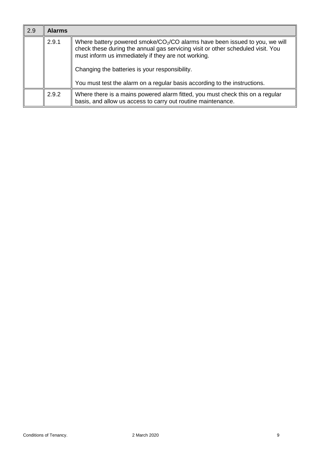| 2.9 | <b>Alarms</b> |                                                                                                                                                                                                                                                                           |
|-----|---------------|---------------------------------------------------------------------------------------------------------------------------------------------------------------------------------------------------------------------------------------------------------------------------|
|     | 2.9.1         | Where battery powered smoke/ $CO2/CO$ alarms have been issued to you, we will<br>check these during the annual gas servicing visit or other scheduled visit. You<br>must inform us immediately if they are not working.<br>Changing the batteries is your responsibility. |
|     |               | You must test the alarm on a regular basis according to the instructions.                                                                                                                                                                                                 |
|     | 2.9.2         | Where there is a mains powered alarm fitted, you must check this on a regular<br>basis, and allow us access to carry out routine maintenance.                                                                                                                             |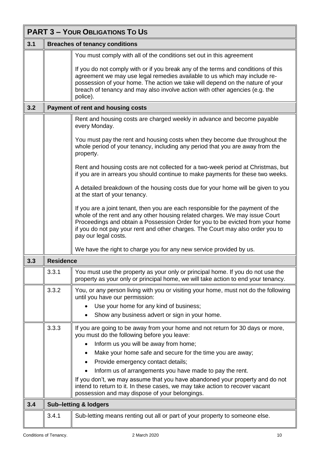|     | <b>PART 3 - YOUR OBLIGATIONS TO US</b> |                                                                                                                                                                                                                                                                                                                                                                                                                                          |  |  |
|-----|----------------------------------------|------------------------------------------------------------------------------------------------------------------------------------------------------------------------------------------------------------------------------------------------------------------------------------------------------------------------------------------------------------------------------------------------------------------------------------------|--|--|
| 3.1 | <b>Breaches of tenancy conditions</b>  |                                                                                                                                                                                                                                                                                                                                                                                                                                          |  |  |
|     |                                        | You must comply with all of the conditions set out in this agreement                                                                                                                                                                                                                                                                                                                                                                     |  |  |
|     |                                        | If you do not comply with or if you break any of the terms and conditions of this<br>agreement we may use legal remedies available to us which may include re-<br>possession of your home. The action we take will depend on the nature of your<br>breach of tenancy and may also involve action with other agencies (e.g. the<br>police).                                                                                               |  |  |
| 3.2 |                                        | <b>Payment of rent and housing costs</b>                                                                                                                                                                                                                                                                                                                                                                                                 |  |  |
|     |                                        | Rent and housing costs are charged weekly in advance and become payable<br>every Monday.                                                                                                                                                                                                                                                                                                                                                 |  |  |
|     |                                        | You must pay the rent and housing costs when they become due throughout the<br>whole period of your tenancy, including any period that you are away from the<br>property.                                                                                                                                                                                                                                                                |  |  |
|     |                                        | Rent and housing costs are not collected for a two-week period at Christmas, but<br>if you are in arrears you should continue to make payments for these two weeks.                                                                                                                                                                                                                                                                      |  |  |
|     |                                        | A detailed breakdown of the housing costs due for your home will be given to you<br>at the start of your tenancy.                                                                                                                                                                                                                                                                                                                        |  |  |
|     |                                        | If you are a joint tenant, then you are each responsible for the payment of the<br>whole of the rent and any other housing related charges. We may issue Court<br>Proceedings and obtain a Possession Order for you to be evicted from your home<br>if you do not pay your rent and other charges. The Court may also order you to<br>pay our legal costs.                                                                               |  |  |
|     |                                        | We have the right to charge you for any new service provided by us.                                                                                                                                                                                                                                                                                                                                                                      |  |  |
| 3.3 | <b>Residence</b>                       |                                                                                                                                                                                                                                                                                                                                                                                                                                          |  |  |
|     | 3.3.1                                  | You must use the property as your only or principal home. If you do not use the<br>property as your only or principal home, we will take action to end your tenancy.                                                                                                                                                                                                                                                                     |  |  |
|     | 3.3.2                                  | You, or any person living with you or visiting your home, must not do the following<br>until you have our permission:<br>Use your home for any kind of business;<br>Show any business advert or sign in your home.                                                                                                                                                                                                                       |  |  |
|     | 3.3.3                                  | If you are going to be away from your home and not return for 30 days or more,<br>you must do the following before you leave:                                                                                                                                                                                                                                                                                                            |  |  |
|     |                                        | Inform us you will be away from home;<br>Make your home safe and secure for the time you are away;<br>$\bullet$<br>Provide emergency contact details;<br>٠<br>Inform us of arrangements you have made to pay the rent.<br>If you don't, we may assume that you have abandoned your property and do not<br>intend to return to it. In these cases, we may take action to recover vacant<br>possession and may dispose of your belongings. |  |  |
| 3.4 |                                        | <b>Sub-letting &amp; lodgers</b>                                                                                                                                                                                                                                                                                                                                                                                                         |  |  |
|     | 3.4.1                                  | Sub-letting means renting out all or part of your property to someone else.                                                                                                                                                                                                                                                                                                                                                              |  |  |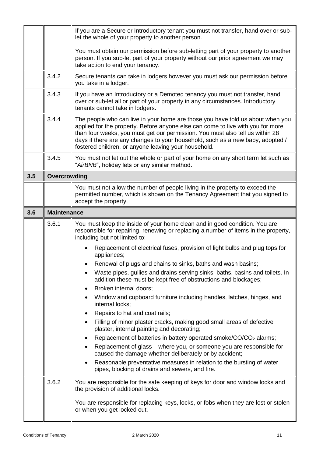|     |                    | If you are a Secure or Introductory tenant you must not transfer, hand over or sub-<br>let the whole of your property to another person.                                                                                                                                                                                                                                                     |  |
|-----|--------------------|----------------------------------------------------------------------------------------------------------------------------------------------------------------------------------------------------------------------------------------------------------------------------------------------------------------------------------------------------------------------------------------------|--|
|     |                    | You must obtain our permission before sub-letting part of your property to another<br>person. If you sub-let part of your property without our prior agreement we may<br>take action to end your tenancy.                                                                                                                                                                                    |  |
|     | 3.4.2              | Secure tenants can take in lodgers however you must ask our permission before<br>you take in a lodger.                                                                                                                                                                                                                                                                                       |  |
|     | 3.4.3              | If you have an Introductory or a Demoted tenancy you must not transfer, hand<br>over or sub-let all or part of your property in any circumstances. Introductory<br>tenants cannot take in lodgers.                                                                                                                                                                                           |  |
|     | 3.4.4              | The people who can live in your home are those you have told us about when you<br>applied for the property. Before anyone else can come to live with you for more<br>than four weeks, you must get our permission. You must also tell us within 28<br>days if there are any changes to your household, such as a new baby, adopted /<br>fostered children, or anyone leaving your household. |  |
|     | 3.4.5              | You must not let out the whole or part of your home on any short term let such as<br>"AirBNB", holiday lets or any similar method.                                                                                                                                                                                                                                                           |  |
| 3.5 | Overcrowding       |                                                                                                                                                                                                                                                                                                                                                                                              |  |
|     |                    | You must not allow the number of people living in the property to exceed the<br>permitted number, which is shown on the Tenancy Agreement that you signed to<br>accept the property.                                                                                                                                                                                                         |  |
| 3.6 | <b>Maintenance</b> |                                                                                                                                                                                                                                                                                                                                                                                              |  |
|     | 3.6.1              | You must keep the inside of your home clean and in good condition. You are                                                                                                                                                                                                                                                                                                                   |  |
|     |                    | responsible for repairing, renewing or replacing a number of items in the property,<br>including but not limited to:                                                                                                                                                                                                                                                                         |  |
|     |                    | Replacement of electrical fuses, provision of light bulbs and plug tops for<br>appliances;                                                                                                                                                                                                                                                                                                   |  |
|     |                    | Renewal of plugs and chains to sinks, baths and wash basins;<br>$\bullet$                                                                                                                                                                                                                                                                                                                    |  |
|     |                    | Waste pipes, gullies and drains serving sinks, baths, basins and toilets. In<br>addition these must be kept free of obstructions and blockages;                                                                                                                                                                                                                                              |  |
|     |                    | Broken internal doors;<br>٠<br>Window and cupboard furniture including handles, latches, hinges, and<br>$\bullet$<br>internal locks;                                                                                                                                                                                                                                                         |  |
|     |                    | Repairs to hat and coat rails;<br>٠                                                                                                                                                                                                                                                                                                                                                          |  |
|     |                    | Filling of minor plaster cracks, making good small areas of defective<br>$\bullet$<br>plaster, internal painting and decorating;                                                                                                                                                                                                                                                             |  |
|     |                    | Replacement of batteries in battery operated smoke/CO/CO <sub>2</sub> alarms;<br>٠                                                                                                                                                                                                                                                                                                           |  |
|     |                    | Replacement of glass – where you, or someone you are responsible for<br>caused the damage whether deliberately or by accident;                                                                                                                                                                                                                                                               |  |
|     |                    | Reasonable preventative measures in relation to the bursting of water<br>$\bullet$<br>pipes, blocking of drains and sewers, and fire.                                                                                                                                                                                                                                                        |  |
|     | 3.6.2              | You are responsible for the safe keeping of keys for door and window locks and<br>the provision of additional locks.                                                                                                                                                                                                                                                                         |  |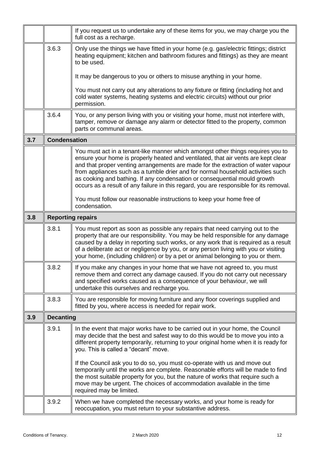|     |                          | If you request us to undertake any of these items for you, we may charge you the<br>full cost as a recharge.                                                                                                                                                                                                                                                                                                                                                                                                                                                                                                                                                |  |
|-----|--------------------------|-------------------------------------------------------------------------------------------------------------------------------------------------------------------------------------------------------------------------------------------------------------------------------------------------------------------------------------------------------------------------------------------------------------------------------------------------------------------------------------------------------------------------------------------------------------------------------------------------------------------------------------------------------------|--|
|     | 3.6.3                    | Only use the things we have fitted in your home (e.g. gas/electric fittings; district<br>heating equipment; kitchen and bathroom fixtures and fittings) as they are meant<br>to be used.                                                                                                                                                                                                                                                                                                                                                                                                                                                                    |  |
|     |                          | It may be dangerous to you or others to misuse anything in your home.                                                                                                                                                                                                                                                                                                                                                                                                                                                                                                                                                                                       |  |
|     |                          | You must not carry out any alterations to any fixture or fitting (including hot and<br>cold water systems, heating systems and electric circuits) without our prior<br>permission.                                                                                                                                                                                                                                                                                                                                                                                                                                                                          |  |
|     | 3.6.4                    | You, or any person living with you or visiting your home, must not interfere with,<br>tamper, remove or damage any alarm or detector fitted to the property, common<br>parts or communal areas.                                                                                                                                                                                                                                                                                                                                                                                                                                                             |  |
| 3.7 | <b>Condensation</b>      |                                                                                                                                                                                                                                                                                                                                                                                                                                                                                                                                                                                                                                                             |  |
|     |                          | You must act in a tenant-like manner which amongst other things requires you to<br>ensure your home is properly heated and ventilated, that air vents are kept clear<br>and that proper venting arrangements are made for the extraction of water vapour<br>from appliances such as a tumble drier and for normal household activities such<br>as cooking and bathing. If any condensation or consequential mould growth<br>occurs as a result of any failure in this regard, you are responsible for its removal.                                                                                                                                          |  |
|     |                          | You must follow our reasonable instructions to keep your home free of<br>condensation.                                                                                                                                                                                                                                                                                                                                                                                                                                                                                                                                                                      |  |
| 3.8 | <b>Reporting repairs</b> |                                                                                                                                                                                                                                                                                                                                                                                                                                                                                                                                                                                                                                                             |  |
|     | 3.8.1                    | You must report as soon as possible any repairs that need carrying out to the<br>property that are our responsibility. You may be held responsible for any damage<br>caused by a delay in reporting such works, or any work that is required as a result<br>of a deliberate act or negligence by you, or any person living with you or visiting<br>your home, (including children) or by a pet or animal belonging to you or them.                                                                                                                                                                                                                          |  |
|     | 3.8.2                    | If you make any changes in your home that we have not agreed to, you must<br>remove them and correct any damage caused. If you do not carry out necessary<br>and specified works caused as a consequence of your behaviour, we will<br>undertake this ourselves and recharge you.                                                                                                                                                                                                                                                                                                                                                                           |  |
|     | 3.8.3                    | You are responsible for moving furniture and any floor coverings supplied and<br>fitted by you, where access is needed for repair work.                                                                                                                                                                                                                                                                                                                                                                                                                                                                                                                     |  |
| 3.9 | <b>Decanting</b>         |                                                                                                                                                                                                                                                                                                                                                                                                                                                                                                                                                                                                                                                             |  |
|     | 3.9.1                    | In the event that major works have to be carried out in your home, the Council<br>may decide that the best and safest way to do this would be to move you into a<br>different property temporarily, returning to your original home when it is ready for<br>you. This is called a "decant" move.<br>If the Council ask you to do so, you must co-operate with us and move out<br>temporarily until the works are complete. Reasonable efforts will be made to find<br>the most suitable property for you, but the nature of works that require such a<br>move may be urgent. The choices of accommodation available in the time<br>required may be limited. |  |
|     | 3.9.2                    | When we have completed the necessary works, and your home is ready for<br>reoccupation, you must return to your substantive address.                                                                                                                                                                                                                                                                                                                                                                                                                                                                                                                        |  |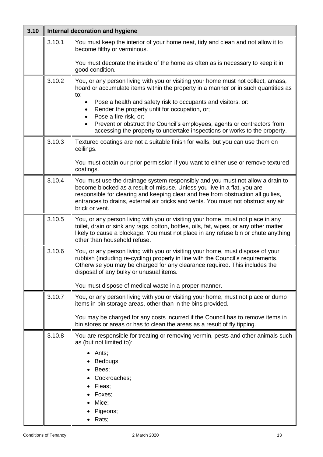| 3.10 | Internal decoration and hygiene |                                                                                                                                                                                                                                                                                                                                                                                                                                                                                                    |
|------|---------------------------------|----------------------------------------------------------------------------------------------------------------------------------------------------------------------------------------------------------------------------------------------------------------------------------------------------------------------------------------------------------------------------------------------------------------------------------------------------------------------------------------------------|
|      | 3.10.1                          | You must keep the interior of your home neat, tidy and clean and not allow it to<br>become filthy or verminous.<br>You must decorate the inside of the home as often as is necessary to keep it in                                                                                                                                                                                                                                                                                                 |
|      |                                 | good condition.                                                                                                                                                                                                                                                                                                                                                                                                                                                                                    |
|      | 3.10.2                          | You, or any person living with you or visiting your home must not collect, amass,<br>hoard or accumulate items within the property in a manner or in such quantities as<br>to:<br>Pose a health and safety risk to occupants and visitors, or:<br>Render the property unfit for occupation, or;<br>٠<br>Pose a fire risk, or;<br>$\bullet$<br>Prevent or obstruct the Council's employees, agents or contractors from<br>accessing the property to undertake inspections or works to the property. |
|      | 3.10.3                          | Textured coatings are not a suitable finish for walls, but you can use them on<br>ceilings.<br>You must obtain our prior permission if you want to either use or remove textured<br>coatings.                                                                                                                                                                                                                                                                                                      |
|      | 3.10.4                          | You must use the drainage system responsibly and you must not allow a drain to<br>become blocked as a result of misuse. Unless you live in a flat, you are<br>responsible for clearing and keeping clear and free from obstruction all gullies,<br>entrances to drains, external air bricks and vents. You must not obstruct any air<br>brick or vent.                                                                                                                                             |
|      | 3.10.5                          | You, or any person living with you or visiting your home, must not place in any<br>toilet, drain or sink any rags, cotton, bottles, oils, fat, wipes, or any other matter<br>likely to cause a blockage. You must not place in any refuse bin or chute anything<br>other than household refuse.                                                                                                                                                                                                    |
|      | 3.10.6                          | You, or any person living with you or visiting your home, must dispose of your<br>rubbish (including re-cycling) properly in line with the Council's requirements.<br>Otherwise you may be charged for any clearance required. This includes the<br>disposal of any bulky or unusual items.<br>You must dispose of medical waste in a proper manner.                                                                                                                                               |
|      | 3.10.7                          | You, or any person living with you or visiting your home, must not place or dump<br>items in bin storage areas, other than in the bins provided.                                                                                                                                                                                                                                                                                                                                                   |
|      |                                 | You may be charged for any costs incurred if the Council has to remove items in<br>bin stores or areas or has to clean the areas as a result of fly tipping.                                                                                                                                                                                                                                                                                                                                       |
|      | 3.10.8                          | You are responsible for treating or removing vermin, pests and other animals such<br>as (but not limited to):<br>Ants;<br>Bedbugs;<br>Bees;<br>Cockroaches;<br>Fleas;<br>Foxes;<br>Mice;<br>Pigeons;<br>Rats;                                                                                                                                                                                                                                                                                      |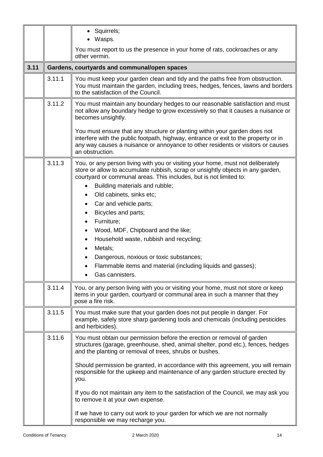|      |        | • Squirrels;<br>Wasps.                                                                                                                                                                                                                                                  |
|------|--------|-------------------------------------------------------------------------------------------------------------------------------------------------------------------------------------------------------------------------------------------------------------------------|
|      |        | You must report to us the presence in your home of rats, cockroaches or any                                                                                                                                                                                             |
| 3.11 |        | other vermin.<br>Gardens, courtyards and communal/open spaces                                                                                                                                                                                                           |
|      | 3.11.1 | You must keep your garden clean and tidy and the paths free from obstruction.                                                                                                                                                                                           |
|      |        | You must maintain the garden, including trees, hedges, fences, lawns and borders<br>to the satisfaction of the Council.                                                                                                                                                 |
|      | 3.11.2 | You must maintain any boundary hedges to our reasonable satisfaction and must<br>not allow any boundary hedge to grow excessively so that it causes a nuisance or<br>becomes unsightly.                                                                                 |
|      |        | You must ensure that any structure or planting within your garden does not<br>interfere with the public footpath, highway, entrance or exit to the property or in<br>any way causes a nuisance or annoyance to other residents or visitors or causes<br>an obstruction. |
|      | 3.11.3 | You, or any person living with you or visiting your home, must not deliberately<br>store or allow to accumulate rubbish, scrap or unsightly objects in any garden,<br>courtyard or communal areas. This includes, but is not limited to:                                |
|      |        | Building materials and rubble;                                                                                                                                                                                                                                          |
|      |        | Old cabinets, sinks etc;                                                                                                                                                                                                                                                |
|      |        | Car and vehicle parts;<br>٠                                                                                                                                                                                                                                             |
|      |        | Bicycles and parts;<br>$\bullet$<br>Furniture;<br>٠                                                                                                                                                                                                                     |
|      |        | Wood, MDF, Chipboard and the like;<br>$\bullet$                                                                                                                                                                                                                         |
|      |        | Household waste, rubbish and recycling;<br>$\bullet$                                                                                                                                                                                                                    |
|      |        | Metals;<br>$\bullet$                                                                                                                                                                                                                                                    |
|      |        | Dangerous, noxious or toxic substances;                                                                                                                                                                                                                                 |
|      |        | Flammable items and material (including liquids and gasses);                                                                                                                                                                                                            |
|      |        | Gas cannisters.                                                                                                                                                                                                                                                         |
|      | 3.11.4 | You, or any person living with you or visiting your home, must not store or keep<br>items in your garden, courtyard or communal area in such a manner that they<br>pose a fire risk.                                                                                    |
|      | 3.11.5 | You must make sure that your garden does not put people in danger. For<br>example, safely store sharp gardening tools and chemicals (including pesticides<br>and herbicides).                                                                                           |
|      | 3.11.6 | You must obtain our permission before the erection or removal of garden<br>structures (garage, greenhouse, shed, animal shelter, pond etc.), fences, hedges<br>and the planting or removal of trees, shrubs or bushes.                                                  |
|      |        | Should permission be granted, in accordance with this agreement, you will remain<br>responsible for the upkeep and maintenance of any garden structure erected by<br>you.                                                                                               |
|      |        | If you do not maintain any item to the satisfaction of the Council, we may ask you<br>to remove it at your own expense.                                                                                                                                                 |
|      |        | If we have to carry out work to your garden for which we are not normally<br>responsible we may recharge you.                                                                                                                                                           |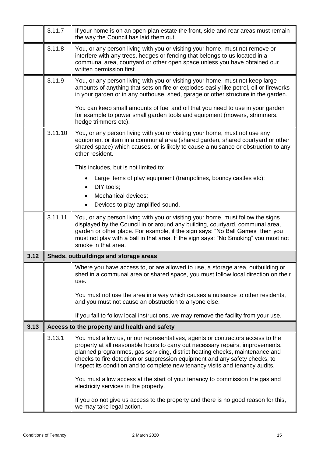|      | 3.11.7  | If your home is on an open-plan estate the front, side and rear areas must remain<br>the way the Council has laid them out.                                                                                                                                                                                                                                                                                                                         |
|------|---------|-----------------------------------------------------------------------------------------------------------------------------------------------------------------------------------------------------------------------------------------------------------------------------------------------------------------------------------------------------------------------------------------------------------------------------------------------------|
|      | 3.11.8  | You, or any person living with you or visiting your home, must not remove or<br>interfere with any trees, hedges or fencing that belongs to us located in a<br>communal area, courtyard or other open space unless you have obtained our<br>written permission first.                                                                                                                                                                               |
|      | 3.11.9  | You, or any person living with you or visiting your home, must not keep large<br>amounts of anything that sets on fire or explodes easily like petrol, oil or fireworks<br>in your garden or in any outhouse, shed, garage or other structure in the garden.<br>You can keep small amounts of fuel and oil that you need to use in your garden<br>for example to power small garden tools and equipment (mowers, strimmers,<br>hedge trimmers etc). |
|      | 3.11.10 | You, or any person living with you or visiting your home, must not use any<br>equipment or item in a communal area (shared garden, shared courtyard or other<br>shared space) which causes, or is likely to cause a nuisance or obstruction to any<br>other resident.                                                                                                                                                                               |
|      |         | This includes, but is not limited to:<br>Large items of play equipment (trampolines, bouncy castles etc);<br>DIY tools;<br>٠<br>Mechanical devices;<br>$\bullet$<br>Devices to play amplified sound.<br>$\bullet$                                                                                                                                                                                                                                   |
|      | 3.11.11 | You, or any person living with you or visiting your home, must follow the signs<br>displayed by the Council in or around any building, courtyard, communal area,<br>garden or other place. For example, if the sign says: "No Ball Games" then you<br>must not play with a ball in that area. If the sign says: "No Smoking" you must not<br>smoke in that area.                                                                                    |
| 3.12 |         | Sheds, outbuildings and storage areas                                                                                                                                                                                                                                                                                                                                                                                                               |
|      |         | Where you have access to, or are allowed to use, a storage area, outbuilding or<br>shed in a communal area or shared space, you must follow local direction on their<br>use.                                                                                                                                                                                                                                                                        |
|      |         | You must not use the area in a way which causes a nuisance to other residents,<br>and you must not cause an obstruction to anyone else.                                                                                                                                                                                                                                                                                                             |
|      |         | If you fail to follow local instructions, we may remove the facility from your use.                                                                                                                                                                                                                                                                                                                                                                 |
| 3.13 |         | Access to the property and health and safety                                                                                                                                                                                                                                                                                                                                                                                                        |
|      | 3.13.1  | You must allow us, or our representatives, agents or contractors access to the<br>property at all reasonable hours to carry out necessary repairs, improvements,<br>planned programmes, gas servicing, district heating checks, maintenance and<br>checks to fire detection or suppression equipment and any safety checks, to<br>inspect its condition and to complete new tenancy visits and tenancy audits.                                      |
|      |         | You must allow access at the start of your tenancy to commission the gas and<br>electricity services in the property.                                                                                                                                                                                                                                                                                                                               |
|      |         | If you do not give us access to the property and there is no good reason for this,<br>we may take legal action.                                                                                                                                                                                                                                                                                                                                     |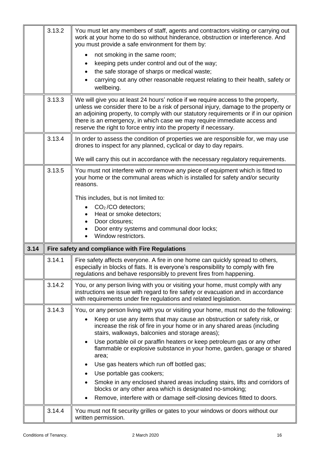|      | 3.13.2 | You must let any members of staff, agents and contractors visiting or carrying out<br>work at your home to do so without hinderance, obstruction or interference. And<br>you must provide a safe environment for them by:                                                                                                                                                                                                                                                                                                                                                                                                                                                                                                                                                              |
|------|--------|----------------------------------------------------------------------------------------------------------------------------------------------------------------------------------------------------------------------------------------------------------------------------------------------------------------------------------------------------------------------------------------------------------------------------------------------------------------------------------------------------------------------------------------------------------------------------------------------------------------------------------------------------------------------------------------------------------------------------------------------------------------------------------------|
|      |        | not smoking in the same room;<br>keeping pets under control and out of the way;<br>the safe storage of sharps or medical waste;<br>carrying out any other reasonable request relating to their health, safety or<br>wellbeing.                                                                                                                                                                                                                                                                                                                                                                                                                                                                                                                                                         |
|      | 3.13.3 | We will give you at least 24 hours' notice if we require access to the property,<br>unless we consider there to be a risk of personal injury, damage to the property or<br>an adjoining property, to comply with our statutory requirements or if in our opinion<br>there is an emergency, in which case we may require immediate access and<br>reserve the right to force entry into the property if necessary.                                                                                                                                                                                                                                                                                                                                                                       |
|      | 3.13.4 | In order to assess the condition of properties we are responsible for, we may use<br>drones to inspect for any planned, cyclical or day to day repairs.<br>We will carry this out in accordance with the necessary regulatory requirements.                                                                                                                                                                                                                                                                                                                                                                                                                                                                                                                                            |
|      | 3.13.5 | You must not interfere with or remove any piece of equipment which is fitted to<br>your home or the communal areas which is installed for safety and/or security<br>reasons.                                                                                                                                                                                                                                                                                                                                                                                                                                                                                                                                                                                                           |
|      |        | This includes, but is not limited to:<br>$CO2/CO$ detectors;<br>Heat or smoke detectors;<br>Door closures;<br>$\bullet$                                                                                                                                                                                                                                                                                                                                                                                                                                                                                                                                                                                                                                                                |
|      |        | Door entry systems and communal door locks;<br>Window restrictors.                                                                                                                                                                                                                                                                                                                                                                                                                                                                                                                                                                                                                                                                                                                     |
| 3.14 |        | Fire safety and compliance with Fire Regulations                                                                                                                                                                                                                                                                                                                                                                                                                                                                                                                                                                                                                                                                                                                                       |
|      | 3.14.1 | Fire safety affects everyone. A fire in one home can quickly spread to others,<br>especially in blocks of flats. It is everyone's responsibility to comply with fire<br>regulations and behave responsibly to prevent fires from happening.                                                                                                                                                                                                                                                                                                                                                                                                                                                                                                                                            |
|      | 3.14.2 | You, or any person living with you or visiting your home, must comply with any<br>instructions we issue with regard to fire safety or evacuation and in accordance<br>with requirements under fire regulations and related legislation.                                                                                                                                                                                                                                                                                                                                                                                                                                                                                                                                                |
|      | 3.14.3 | You, or any person living with you or visiting your home, must not do the following:<br>Keep or use any items that may cause an obstruction or safety risk, or<br>increase the risk of fire in your home or in any shared areas (including<br>stairs, walkways, balconies and storage areas);<br>Use portable oil or paraffin heaters or keep petroleum gas or any other<br>$\bullet$<br>flammable or explosive substance in your home, garden, garage or shared<br>area;<br>Use gas heaters which run off bottled gas;<br>Use portable gas cookers;<br>Smoke in any enclosed shared areas including stairs, lifts and corridors of<br>$\bullet$<br>blocks or any other area which is designated no-smoking;<br>Remove, interfere with or damage self-closing devices fitted to doors. |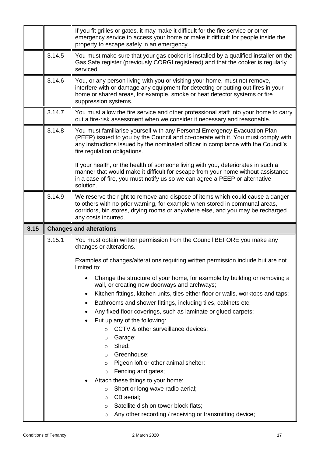|      |        | If you fit grilles or gates, it may make it difficult for the fire service or other<br>emergency service to access your home or make it difficult for people inside the<br>property to escape safely in an emergency.                                                              |
|------|--------|------------------------------------------------------------------------------------------------------------------------------------------------------------------------------------------------------------------------------------------------------------------------------------|
|      | 3.14.5 | You must make sure that your gas cooker is installed by a qualified installer on the<br>Gas Safe register (previously CORGI registered) and that the cooker is regularly<br>serviced.                                                                                              |
|      | 3.14.6 | You, or any person living with you or visiting your home, must not remove,<br>interfere with or damage any equipment for detecting or putting out fires in your<br>home or shared areas, for example, smoke or heat detector systems or fire<br>suppression systems.               |
|      | 3.14.7 | You must allow the fire service and other professional staff into your home to carry<br>out a fire-risk assessment when we consider it necessary and reasonable.                                                                                                                   |
|      | 3.14.8 | You must familiarise yourself with any Personal Emergency Evacuation Plan<br>(PEEP) issued to you by the Council and co-operate with it. You must comply with<br>any instructions issued by the nominated officer in compliance with the Council's<br>fire regulation obligations. |
|      |        | If your health, or the health of someone living with you, deteriorates in such a<br>manner that would make it difficult for escape from your home without assistance<br>in a case of fire, you must notify us so we can agree a PEEP or alternative<br>solution.                   |
|      | 3.14.9 | We reserve the right to remove and dispose of items which could cause a danger<br>to others with no prior warning, for example when stored in communal areas,<br>corridors, bin stores, drying rooms or anywhere else, and you may be recharged<br>any costs incurred.             |
|      |        |                                                                                                                                                                                                                                                                                    |
| 3.15 |        | <b>Changes and alterations</b>                                                                                                                                                                                                                                                     |
|      | 3.15.1 | You must obtain written permission from the Council BEFORE you make any<br>changes or alterations.                                                                                                                                                                                 |
|      |        | Examples of changes/alterations requiring written permission include but are not<br>limited to:                                                                                                                                                                                    |
|      |        | Change the structure of your home, for example by building or removing a<br>wall, or creating new doorways and archways;                                                                                                                                                           |
|      |        | Kitchen fittings, kitchen units, tiles either floor or walls, worktops and taps;<br>٠                                                                                                                                                                                              |
|      |        | Bathrooms and shower fittings, including tiles, cabinets etc;<br>٠                                                                                                                                                                                                                 |
|      |        | Any fixed floor coverings, such as laminate or glued carpets;                                                                                                                                                                                                                      |
|      |        | Put up any of the following:<br>CCTV & other surveillance devices;<br>$\circ$                                                                                                                                                                                                      |
|      |        | Garage;<br>O                                                                                                                                                                                                                                                                       |
|      |        | Shed;<br>$\circ$                                                                                                                                                                                                                                                                   |
|      |        | Greenhouse;<br>$\circ$                                                                                                                                                                                                                                                             |
|      |        | Pigeon loft or other animal shelter;<br>O                                                                                                                                                                                                                                          |
|      |        | Fencing and gates;<br>$\circ$                                                                                                                                                                                                                                                      |
|      |        | Attach these things to your home:<br>Short or long wave radio aerial;<br>$\circ$                                                                                                                                                                                                   |
|      |        | CB aerial;<br>$\circ$                                                                                                                                                                                                                                                              |
|      |        | Satellite dish on tower block flats;<br>O<br>Any other recording / receiving or transmitting device;                                                                                                                                                                               |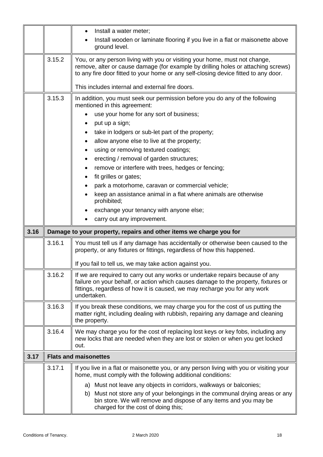|      |        | Install a water meter;<br>Install wooden or laminate flooring if you live in a flat or maisonette above                                                                                                                                                          |
|------|--------|------------------------------------------------------------------------------------------------------------------------------------------------------------------------------------------------------------------------------------------------------------------|
|      |        | ground level.                                                                                                                                                                                                                                                    |
|      | 3.15.2 | You, or any person living with you or visiting your home, must not change,<br>remove, alter or cause damage (for example by drilling holes or attaching screws)<br>to any fire door fitted to your home or any self-closing device fitted to any door.           |
|      |        | This includes internal and external fire doors.                                                                                                                                                                                                                  |
|      | 3.15.3 | In addition, you must seek our permission before you do any of the following<br>mentioned in this agreement:                                                                                                                                                     |
|      |        | use your home for any sort of business;                                                                                                                                                                                                                          |
|      |        | put up a sign;                                                                                                                                                                                                                                                   |
|      |        | take in lodgers or sub-let part of the property;<br>٠                                                                                                                                                                                                            |
|      |        | allow anyone else to live at the property;<br>٠                                                                                                                                                                                                                  |
|      |        | using or removing textured coatings;                                                                                                                                                                                                                             |
|      |        | erecting / removal of garden structures;                                                                                                                                                                                                                         |
|      |        | remove or interfere with trees, hedges or fencing;<br>٠                                                                                                                                                                                                          |
|      |        | fit grilles or gates;<br>٠                                                                                                                                                                                                                                       |
|      |        | park a motorhome, caravan or commercial vehicle;                                                                                                                                                                                                                 |
|      |        | keep an assistance animal in a flat where animals are otherwise<br>prohibited;                                                                                                                                                                                   |
|      |        | exchange your tenancy with anyone else;                                                                                                                                                                                                                          |
|      |        | carry out any improvement.                                                                                                                                                                                                                                       |
| 3.16 |        | Damage to your property, repairs and other items we charge you for                                                                                                                                                                                               |
|      | 3.16.1 | You must tell us if any damage has accidentally or otherwise been caused to the<br>property, or any fixtures or fittings, regardless of how this happened.                                                                                                       |
|      |        | If you fail to tell us, we may take action against you.                                                                                                                                                                                                          |
|      | 3.16.2 | If we are required to carry out any works or undertake repairs because of any<br>failure on your behalf, or action which causes damage to the property, fixtures or<br>fittings, regardless of how it is caused, we may recharge you for any work<br>undertaken. |
|      | 3.16.3 | If you break these conditions, we may charge you for the cost of us putting the<br>matter right, including dealing with rubbish, repairing any damage and cleaning<br>the property.                                                                              |
|      | 3.16.4 | We may charge you for the cost of replacing lost keys or key fobs, including any<br>new locks that are needed when they are lost or stolen or when you get locked<br>out.                                                                                        |
| 3.17 |        | <b>Flats and maisonettes</b>                                                                                                                                                                                                                                     |
|      | 3.17.1 | If you live in a flat or maisonette you, or any person living with you or visiting your<br>home, must comply with the following additional conditions:                                                                                                           |
|      |        | a) Must not leave any objects in corridors, walkways or balconies;                                                                                                                                                                                               |
|      |        | b) Must not store any of your belongings in the communal drying areas or any<br>bin store. We will remove and dispose of any items and you may be<br>charged for the cost of doing this;                                                                         |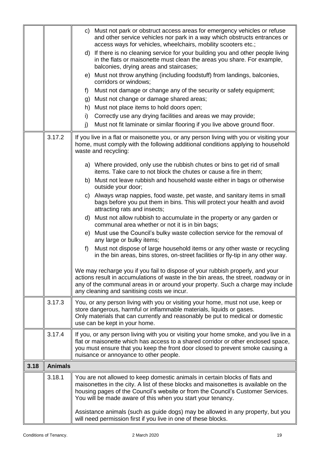|      |                | c) Must not park or obstruct access areas for emergency vehicles or refuse<br>and other service vehicles nor park in a way which obstructs entrances or<br>access ways for vehicles, wheelchairs, mobility scooters etc.;<br>d) If there is no cleaning service for your building you and other people living<br>in the flats or maisonette must clean the areas you share. For example,<br>balconies, drying areas and staircases;<br>e) Must not throw anything (including foodstuff) from landings, balconies,<br>corridors or windows;<br>Must not damage or change any of the security or safety equipment;<br>f)<br>g) Must not change or damage shared areas; |
|------|----------------|----------------------------------------------------------------------------------------------------------------------------------------------------------------------------------------------------------------------------------------------------------------------------------------------------------------------------------------------------------------------------------------------------------------------------------------------------------------------------------------------------------------------------------------------------------------------------------------------------------------------------------------------------------------------|
|      |                | h) Must not place items to hold doors open;                                                                                                                                                                                                                                                                                                                                                                                                                                                                                                                                                                                                                          |
|      |                | Correctly use any drying facilities and areas we may provide;<br>i)                                                                                                                                                                                                                                                                                                                                                                                                                                                                                                                                                                                                  |
|      |                | Must not fit laminate or similar flooring if you live above ground floor.<br>j)                                                                                                                                                                                                                                                                                                                                                                                                                                                                                                                                                                                      |
|      | 3.17.2         | If you live in a flat or maisonette you, or any person living with you or visiting your<br>home, must comply with the following additional conditions applying to household<br>waste and recycling:                                                                                                                                                                                                                                                                                                                                                                                                                                                                  |
|      |                | a) Where provided, only use the rubbish chutes or bins to get rid of small<br>items. Take care to not block the chutes or cause a fire in them:                                                                                                                                                                                                                                                                                                                                                                                                                                                                                                                      |
|      |                | b) Must not leave rubbish and household waste either in bags or otherwise<br>outside your door;                                                                                                                                                                                                                                                                                                                                                                                                                                                                                                                                                                      |
|      |                | c) Always wrap nappies, food waste, pet waste, and sanitary items in small<br>bags before you put them in bins. This will protect your health and avoid<br>attracting rats and insects;                                                                                                                                                                                                                                                                                                                                                                                                                                                                              |
|      |                | d) Must not allow rubbish to accumulate in the property or any garden or<br>communal area whether or not it is in bin bags;                                                                                                                                                                                                                                                                                                                                                                                                                                                                                                                                          |
|      |                | e) Must use the Council's bulky waste collection service for the removal of<br>any large or bulky items;                                                                                                                                                                                                                                                                                                                                                                                                                                                                                                                                                             |
|      |                | Must not dispose of large household items or any other waste or recycling<br>f)<br>in the bin areas, bins stores, on-street facilities or fly-tip in any other way.                                                                                                                                                                                                                                                                                                                                                                                                                                                                                                  |
|      |                | We may recharge you if you fail to dispose of your rubbish properly, and your<br>actions result in accumulations of waste in the bin areas, the street, roadway or in<br>any of the communal areas in or around your property. Such a charge may include<br>any cleaning and sanitising costs we incur.                                                                                                                                                                                                                                                                                                                                                              |
|      | 3.17.3         | You, or any person living with you or visiting your home, must not use, keep or<br>store dangerous, harmful or inflammable materials, liquids or gases.<br>Only materials that can currently and reasonably be put to medical or domestic<br>use can be kept in your home.                                                                                                                                                                                                                                                                                                                                                                                           |
|      | 3.17.4         | If you, or any person living with you or visiting your home smoke, and you live in a<br>flat or maisonette which has access to a shared corridor or other enclosed space,<br>you must ensure that you keep the front door closed to prevent smoke causing a<br>nuisance or annoyance to other people.                                                                                                                                                                                                                                                                                                                                                                |
| 3.18 | <b>Animals</b> |                                                                                                                                                                                                                                                                                                                                                                                                                                                                                                                                                                                                                                                                      |
|      | 3.18.1         | You are not allowed to keep domestic animals in certain blocks of flats and<br>maisonettes in the city. A list of these blocks and maisonettes is available on the<br>housing pages of the Council's website or from the Council's Customer Services.<br>You will be made aware of this when you start your tenancy.                                                                                                                                                                                                                                                                                                                                                 |
|      |                | Assistance animals (such as guide dogs) may be allowed in any property, but you<br>will need permission first if you live in one of these blocks.                                                                                                                                                                                                                                                                                                                                                                                                                                                                                                                    |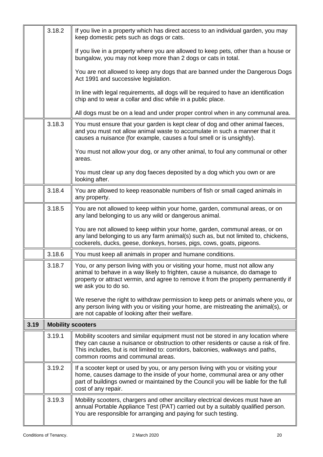|      | 3.18.2 | If you live in a property which has direct access to an individual garden, you may<br>keep domestic pets such as dogs or cats.                                                                                                                                                                  |
|------|--------|-------------------------------------------------------------------------------------------------------------------------------------------------------------------------------------------------------------------------------------------------------------------------------------------------|
|      |        | If you live in a property where you are allowed to keep pets, other than a house or<br>bungalow, you may not keep more than 2 dogs or cats in total.                                                                                                                                            |
|      |        | You are not allowed to keep any dogs that are banned under the Dangerous Dogs<br>Act 1991 and successive legislation.                                                                                                                                                                           |
|      |        | In line with legal requirements, all dogs will be required to have an identification<br>chip and to wear a collar and disc while in a public place.                                                                                                                                             |
|      |        | All dogs must be on a lead and under proper control when in any communal area.                                                                                                                                                                                                                  |
|      | 3.18.3 | You must ensure that your garden is kept clear of dog and other animal faeces,<br>and you must not allow animal waste to accumulate in such a manner that it<br>causes a nuisance (for example, causes a foul smell or is unsightly).                                                           |
|      |        | You must not allow your dog, or any other animal, to foul any communal or other<br>areas.                                                                                                                                                                                                       |
|      |        | You must clear up any dog faeces deposited by a dog which you own or are<br>looking after.                                                                                                                                                                                                      |
|      | 3.18.4 | You are allowed to keep reasonable numbers of fish or small caged animals in<br>any property.                                                                                                                                                                                                   |
|      | 3.18.5 | You are not allowed to keep within your home, garden, communal areas, or on<br>any land belonging to us any wild or dangerous animal.                                                                                                                                                           |
|      |        | You are not allowed to keep within your home, garden, communal areas, or on<br>any land belonging to us any farm animal(s) such as, but not limited to, chickens,<br>cockerels, ducks, geese, donkeys, horses, pigs, cows, goats, pigeons.                                                      |
|      | 3.18.6 | You must keep all animals in proper and humane conditions.                                                                                                                                                                                                                                      |
|      | 3.18.7 | You, or any person living with you or visiting your home, must not allow any<br>animal to behave in a way likely to frighten, cause a nuisance, do damage to<br>property or attract vermin, and agree to remove it from the property permanently if<br>we ask you to do so.                     |
|      |        | We reserve the right to withdraw permission to keep pets or animals where you, or<br>any person living with you or visiting your home, are mistreating the animal(s), or<br>are not capable of looking after their welfare.                                                                     |
| 3.19 |        | <b>Mobility scooters</b>                                                                                                                                                                                                                                                                        |
|      | 3.19.1 | Mobility scooters and similar equipment must not be stored in any location where<br>they can cause a nuisance or obstruction to other residents or cause a risk of fire.<br>This includes, but is not limited to: corridors, balconies, walkways and paths,<br>common rooms and communal areas. |
|      | 3.19.2 | If a scooter kept or used by you, or any person living with you or visiting your<br>home, causes damage to the inside of your home, communal area or any other<br>part of buildings owned or maintained by the Council you will be liable for the full<br>cost of any repair.                   |
|      | 3.19.3 | Mobility scooters, chargers and other ancillary electrical devices must have an<br>annual Portable Appliance Test (PAT) carried out by a suitably qualified person.<br>You are responsible for arranging and paying for such testing.                                                           |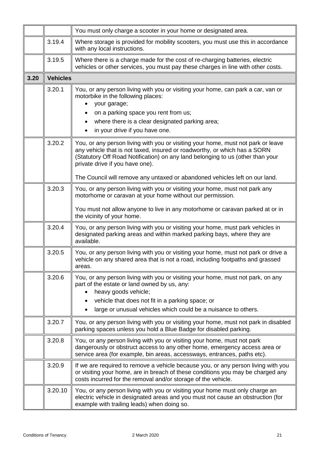|      |                 | You must only charge a scooter in your home or designated area.                                                                                                                                                                                                                    |
|------|-----------------|------------------------------------------------------------------------------------------------------------------------------------------------------------------------------------------------------------------------------------------------------------------------------------|
|      | 3.19.4          | Where storage is provided for mobility scooters, you must use this in accordance<br>with any local instructions.                                                                                                                                                                   |
|      | 3.19.5          | Where there is a charge made for the cost of re-charging batteries, electric<br>vehicles or other services, you must pay these charges in line with other costs.                                                                                                                   |
| 3.20 | <b>Vehicles</b> |                                                                                                                                                                                                                                                                                    |
|      | 3.20.1          | You, or any person living with you or visiting your home, can park a car, van or<br>motorbike in the following places:<br>your garage;                                                                                                                                             |
|      |                 | on a parking space you rent from us;                                                                                                                                                                                                                                               |
|      |                 | where there is a clear designated parking area;<br>$\bullet$                                                                                                                                                                                                                       |
|      |                 | in your drive if you have one.<br>$\bullet$                                                                                                                                                                                                                                        |
|      | 3.20.2          | You, or any person living with you or visiting your home, must not park or leave<br>any vehicle that is not taxed, insured or roadworthy, or which has a SORN<br>(Statutory Off Road Notification) on any land belonging to us (other than your<br>private drive if you have one). |
|      |                 | The Council will remove any untaxed or abandoned vehicles left on our land.                                                                                                                                                                                                        |
|      | 3.20.3          | You, or any person living with you or visiting your home, must not park any<br>motorhome or caravan at your home without our permission.                                                                                                                                           |
|      |                 | You must not allow anyone to live in any motorhome or caravan parked at or in<br>the vicinity of your home.                                                                                                                                                                        |
|      | 3.20.4          | You, or any person living with you or visiting your home, must park vehicles in<br>designated parking areas and within marked parking bays, where they are<br>available.                                                                                                           |
|      | 3.20.5          | You, or any person living with you or visiting your home, must not park or drive a<br>vehicle on any shared area that is not a road, including footpaths and grassed<br>areas.                                                                                                     |
|      | 3.20.6          | You, or any person living with you or visiting your home, must not park, on any<br>part of the estate or land owned by us, any:<br>heavy goods vehicle;                                                                                                                            |
|      |                 | vehicle that does not fit in a parking space; or<br>large or unusual vehicles which could be a nuisance to others.                                                                                                                                                                 |
|      |                 |                                                                                                                                                                                                                                                                                    |
|      | 3.20.7          | You, or any person living with you or visiting your home, must not park in disabled<br>parking spaces unless you hold a Blue Badge for disabled parking.                                                                                                                           |
|      | 3.20.8          | You, or any person living with you or visiting your home, must not park<br>dangerously or obstruct access to any other home, emergency access area or<br>service area (for example, bin areas, accessways, entrances, paths etc).                                                  |
|      | 3.20.9          | If we are required to remove a vehicle because you, or any person living with you<br>or visiting your home, are in breach of these conditions you may be charged any<br>costs incurred for the removal and/or storage of the vehicle.                                              |
|      | 3.20.10         | You, or any person living with you or visiting your home must only charge an<br>electric vehicle in designated areas and you must not cause an obstruction (for<br>example with trailing leads) when doing so.                                                                     |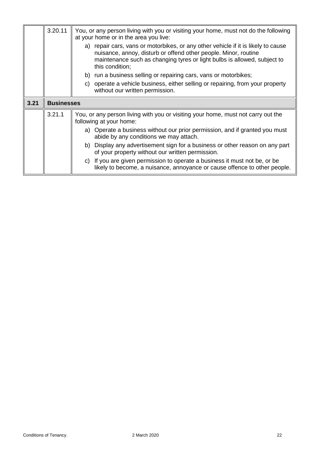|      | 3.20.11           | You, or any person living with you or visiting your home, must not do the following<br>at your home or in the area you live:                                                                                                                        |
|------|-------------------|-----------------------------------------------------------------------------------------------------------------------------------------------------------------------------------------------------------------------------------------------------|
|      |                   | a) repair cars, vans or motorbikes, or any other vehicle if it is likely to cause<br>nuisance, annoy, disturb or offend other people. Minor, routine<br>maintenance such as changing tyres or light bulbs is allowed, subject to<br>this condition; |
|      |                   | b) run a business selling or repairing cars, vans or motorbikes;                                                                                                                                                                                    |
|      |                   | c) operate a vehicle business, either selling or repairing, from your property<br>without our written permission.                                                                                                                                   |
| 3.21 | <b>Businesses</b> |                                                                                                                                                                                                                                                     |
|      | 3.21.1            | You, or any person living with you or visiting your home, must not carry out the<br>following at your home:                                                                                                                                         |
|      |                   | a) Operate a business without our prior permission, and if granted you must<br>abide by any conditions we may attach.                                                                                                                               |
|      |                   | b) Display any advertisement sign for a business or other reason on any part<br>of your property without our written permission.                                                                                                                    |
|      |                   | c) If you are given permission to operate a business it must not be, or be<br>likely to become, a nuisance, annoyance or cause offence to other people.                                                                                             |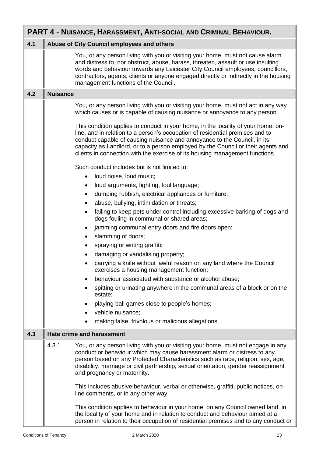| PART 4 - NUISANCE, HARASSMENT, ANTI-SOCIAL AND CRIMINAL BEHAVIOUR. |                 |                                                                                                                                                                                                                                                                                                                                                                                                                    |
|--------------------------------------------------------------------|-----------------|--------------------------------------------------------------------------------------------------------------------------------------------------------------------------------------------------------------------------------------------------------------------------------------------------------------------------------------------------------------------------------------------------------------------|
| 4.1                                                                |                 | Abuse of City Council employees and others                                                                                                                                                                                                                                                                                                                                                                         |
|                                                                    |                 | You, or any person living with you or visiting your home, must not cause alarm<br>and distress to, nor obstruct, abuse, harass, threaten, assault or use insulting<br>words and behaviour towards any Leicester City Council employees, councillors,<br>contractors, agents, clients or anyone engaged directly or indirectly in the housing<br>management functions of the Council.                               |
| 4.2                                                                | <b>Nuisance</b> |                                                                                                                                                                                                                                                                                                                                                                                                                    |
|                                                                    |                 | You, or any person living with you or visiting your home, must not act in any way<br>which causes or is capable of causing nuisance or annoyance to any person.                                                                                                                                                                                                                                                    |
|                                                                    |                 | This condition applies to conduct in your home, in the locality of your home, on-<br>line, and in relation to a person's occupation of residential premises and to<br>conduct capable of causing nuisance and annoyance to the Council, in its<br>capacity as Landlord, or to a person employed by the Council or their agents and<br>clients in connection with the exercise of its housing management functions. |
|                                                                    |                 | Such conduct includes but is not limited to:                                                                                                                                                                                                                                                                                                                                                                       |
|                                                                    |                 | loud noise, loud music;                                                                                                                                                                                                                                                                                                                                                                                            |
|                                                                    |                 | loud arguments, fighting, foul language;<br>$\bullet$                                                                                                                                                                                                                                                                                                                                                              |
|                                                                    |                 | dumping rubbish, electrical appliances or furniture;<br>$\bullet$                                                                                                                                                                                                                                                                                                                                                  |
|                                                                    |                 | abuse, bullying, intimidation or threats;                                                                                                                                                                                                                                                                                                                                                                          |
|                                                                    |                 | failing to keep pets under control including excessive barking of dogs and<br>dogs fouling in communal or shared areas;                                                                                                                                                                                                                                                                                            |
|                                                                    |                 | jamming communal entry doors and fire doors open;<br>$\bullet$                                                                                                                                                                                                                                                                                                                                                     |
|                                                                    |                 | slamming of doors;<br>$\bullet$                                                                                                                                                                                                                                                                                                                                                                                    |
|                                                                    |                 | spraying or writing graffiti;<br>٠                                                                                                                                                                                                                                                                                                                                                                                 |
|                                                                    |                 | damaging or vandalising property;                                                                                                                                                                                                                                                                                                                                                                                  |
|                                                                    |                 | carrying a knife without lawful reason on any land where the Council<br>exercises a housing management function;                                                                                                                                                                                                                                                                                                   |
|                                                                    |                 | behaviour associated with substance or alcohol abuse;                                                                                                                                                                                                                                                                                                                                                              |
|                                                                    |                 | spitting or urinating anywhere in the communal areas of a block or on the<br>estate;                                                                                                                                                                                                                                                                                                                               |
|                                                                    |                 | playing ball games close to people's homes;                                                                                                                                                                                                                                                                                                                                                                        |
|                                                                    |                 | vehicle nuisance;                                                                                                                                                                                                                                                                                                                                                                                                  |
|                                                                    |                 | making false, frivolous or malicious allegations.                                                                                                                                                                                                                                                                                                                                                                  |
| 4.3                                                                |                 | <b>Hate crime and harassment</b>                                                                                                                                                                                                                                                                                                                                                                                   |
|                                                                    | 4.3.1           | You, or any person living with you or visiting your home, must not engage in any<br>conduct or behaviour which may cause harassment alarm or distress to any<br>person based on any Protected Characteristics such as race, religion, sex, age,<br>disability, marriage or civil partnership, sexual orientation, gender reassignment<br>and pregnancy or maternity.                                               |
|                                                                    |                 | This includes abusive behaviour, verbal or otherwise, graffiti, public notices, on-<br>line comments, or in any other way.                                                                                                                                                                                                                                                                                         |
|                                                                    |                 | This condition applies to behaviour in your home, on any Council owned land, in<br>the locality of your home and in relation to conduct and behaviour aimed at a<br>person in relation to their occupation of residential premises and to any conduct or                                                                                                                                                           |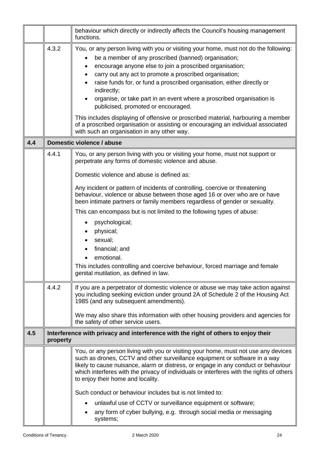|     |          | behaviour which directly or indirectly affects the Council's housing management<br>functions.                                                                                                                                                                                                                                                                                                                                                                                                                                                                          |
|-----|----------|------------------------------------------------------------------------------------------------------------------------------------------------------------------------------------------------------------------------------------------------------------------------------------------------------------------------------------------------------------------------------------------------------------------------------------------------------------------------------------------------------------------------------------------------------------------------|
|     | 4.3.2    | You, or any person living with you or visiting your home, must not do the following:<br>be a member of any proscribed (banned) organisation;<br>encourage anyone else to join a proscribed organisation;<br>٠<br>carry out any act to promote a proscribed organisation;<br>raise funds for, or fund a proscribed organisation, either directly or<br>indirectly;<br>organise, or take part in an event where a proscribed organisation is<br>publicised, promoted or encouraged.<br>This includes displaying of offensive or proscribed material, harbouring a member |
|     |          | of a proscribed organisation or assisting or encouraging an individual associated<br>with such an organisation in any other way.                                                                                                                                                                                                                                                                                                                                                                                                                                       |
| 4.4 |          | Domestic violence / abuse                                                                                                                                                                                                                                                                                                                                                                                                                                                                                                                                              |
|     | 4.4.1    | You, or any person living with you or visiting your home, must not support or<br>perpetrate any forms of domestic violence and abuse.<br>Domestic violence and abuse is defined as:                                                                                                                                                                                                                                                                                                                                                                                    |
|     |          | Any incident or pattern of incidents of controlling, coercive or threatening<br>behaviour, violence or abuse between those aged 16 or over who are or have<br>been intimate partners or family members regardless of gender or sexuality.                                                                                                                                                                                                                                                                                                                              |
|     |          | This can encompass but is not limited to the following types of abuse:<br>psychological;<br>٠<br>physical;<br>sexual;<br>financial; and<br>emotional.<br>This includes controlling and coercive behaviour, forced marriage and female<br>genital mutilation, as defined in law.                                                                                                                                                                                                                                                                                        |
|     | 4.4.2    | If you are a perpetrator of domestic violence or abuse we may take action against<br>you including seeking eviction under ground 2A of Schedule 2 of the Housing Act<br>1985 (and any subsequent amendments).<br>We may also share this information with other housing providers and agencies for<br>the safety of other service users.                                                                                                                                                                                                                                |
| 4.5 | property | Interference with privacy and interference with the right of others to enjoy their                                                                                                                                                                                                                                                                                                                                                                                                                                                                                     |
|     |          | You, or any person living with you or visiting your home, must not use any devices<br>such as drones, CCTV and other surveillance equipment or software in a way<br>likely to cause nuisance, alarm or distress, or engage in any conduct or behaviour<br>which interferes with the privacy of individuals or interferes with the rights of others<br>to enjoy their home and locality.                                                                                                                                                                                |
|     |          | Such conduct or behaviour includes but is not limited to:                                                                                                                                                                                                                                                                                                                                                                                                                                                                                                              |
|     |          | unlawful use of CCTV or surveillance equipment or software;<br>any form of cyber bullying, e.g. through social media or messaging<br>systems;                                                                                                                                                                                                                                                                                                                                                                                                                          |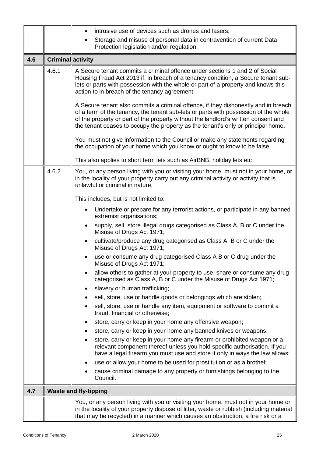|     |                          | intrusive use of devices such as drones and lasers;                                                                                                                                                                                                                                                                                                 |
|-----|--------------------------|-----------------------------------------------------------------------------------------------------------------------------------------------------------------------------------------------------------------------------------------------------------------------------------------------------------------------------------------------------|
|     |                          | Storage and misuse of personal data in contravention of current Data<br>$\bullet$                                                                                                                                                                                                                                                                   |
|     |                          | Protection legislation and/or regulation.                                                                                                                                                                                                                                                                                                           |
| 4.6 | <b>Criminal activity</b> |                                                                                                                                                                                                                                                                                                                                                     |
|     | 4.6.1                    | A Secure tenant commits a criminal offence under sections 1 and 2 of Social<br>Housing Fraud Act 2013 if, in breach of a tenancy condition, a Secure tenant sub-<br>lets or parts with possession with the whole or part of a property and knows this<br>action to in breach of the tenancy agreement.                                              |
|     |                          | A Secure tenant also commits a criminal offence, if they dishonestly and in breach<br>of a term of the tenancy, the tenant sub-lets or parts with possession of the whole<br>of the property or part of the property without the landlord's written consent and<br>the tenant ceases to occupy the property as the tenant's only or principal home. |
|     |                          | You must not give information to the Council or make any statements regarding<br>the occupation of your home which you know or ought to know to be false.                                                                                                                                                                                           |
|     |                          | This also applies to short term lets such as AirBNB, holiday lets etc                                                                                                                                                                                                                                                                               |
|     | 4.6.2                    | You, or any person living with you or visiting your home, must not in your home, or<br>in the locality of your property carry out any criminal activity or activity that is<br>unlawful or criminal in nature.                                                                                                                                      |
|     |                          | This includes, but is not limited to:                                                                                                                                                                                                                                                                                                               |
|     |                          | Undertake or prepare for any terrorist actions, or participate in any banned<br>$\bullet$<br>extremist organisations;                                                                                                                                                                                                                               |
|     |                          | supply, sell, store illegal drugs categorised as Class A, B or C under the<br>$\bullet$<br>Misuse of Drugs Act 1971;                                                                                                                                                                                                                                |
|     |                          | cultivate/produce any drug categorised as Class A, B or C under the<br>$\bullet$<br>Misuse of Drugs Act 1971;                                                                                                                                                                                                                                       |
|     |                          | use or consume any drug categorised Class A B or C drug under the<br>Misuse of Drugs Act 1971;                                                                                                                                                                                                                                                      |
|     |                          | allow others to gather at your property to use, share or consume any drug<br>categorised as Class A, B or C under the Misuse of Drugs Act 1971;                                                                                                                                                                                                     |
|     |                          | slavery or human trafficking;                                                                                                                                                                                                                                                                                                                       |
|     |                          | sell, store, use or handle goods or belongings which are stolen;<br>٠                                                                                                                                                                                                                                                                               |
|     |                          | sell, store, use or handle any item, equipment or software to commit a<br>fraud, financial or otherwise;                                                                                                                                                                                                                                            |
|     |                          | store, carry or keep in your home any offensive weapon;<br>٠                                                                                                                                                                                                                                                                                        |
|     |                          | store, carry or keep in your home any banned knives or weapons;                                                                                                                                                                                                                                                                                     |
|     |                          | store, carry or keep in your home any firearm or prohibited weapon or a<br>relevant component thereof unless you hold specific authorisation. If you<br>have a legal firearm you must use and store it only in ways the law allows;                                                                                                                 |
|     |                          | use or allow your home to be used for prostitution or as a brothel;<br>$\bullet$                                                                                                                                                                                                                                                                    |
|     |                          | cause criminal damage to any property or furnishings belonging to the<br>Council.                                                                                                                                                                                                                                                                   |
| 4.7 |                          | <b>Waste and fly-tipping</b>                                                                                                                                                                                                                                                                                                                        |
|     |                          | You, or any person living with you or visiting your home, must not in your home or<br>in the locality of your property dispose of litter, waste or rubbish (including material<br>that may be recycled) in a manner which causes an obstruction, a fire risk or a                                                                                   |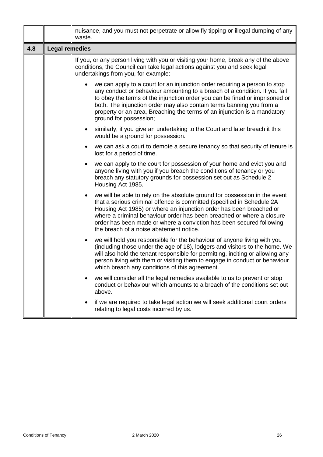|     |                       | nuisance, and you must not perpetrate or allow fly tipping or illegal dumping of any<br>waste.                                                                                                                                                                                                                                                                                                                          |
|-----|-----------------------|-------------------------------------------------------------------------------------------------------------------------------------------------------------------------------------------------------------------------------------------------------------------------------------------------------------------------------------------------------------------------------------------------------------------------|
| 4.8 | <b>Legal remedies</b> |                                                                                                                                                                                                                                                                                                                                                                                                                         |
|     |                       | If you, or any person living with you or visiting your home, break any of the above<br>conditions, the Council can take legal actions against you and seek legal<br>undertakings from you, for example:                                                                                                                                                                                                                 |
|     |                       | we can apply to a court for an injunction order requiring a person to stop<br>any conduct or behaviour amounting to a breach of a condition. If you fail<br>to obey the terms of the injunction order you can be fined or imprisoned or<br>both. The injunction order may also contain terms banning you from a<br>property or an area, Breaching the terms of an injunction is a mandatory<br>ground for possession;   |
|     |                       | similarly, if you give an undertaking to the Court and later breach it this<br>would be a ground for possession.                                                                                                                                                                                                                                                                                                        |
|     |                       | we can ask a court to demote a secure tenancy so that security of tenure is<br>lost for a period of time.                                                                                                                                                                                                                                                                                                               |
|     |                       | we can apply to the court for possession of your home and evict you and<br>anyone living with you if you breach the conditions of tenancy or you<br>breach any statutory grounds for possession set out as Schedule 2<br>Housing Act 1985.                                                                                                                                                                              |
|     |                       | we will be able to rely on the absolute ground for possession in the event<br>that a serious criminal offence is committed (specified in Schedule 2A<br>Housing Act 1985) or where an injunction order has been breached or<br>where a criminal behaviour order has been breached or where a closure<br>order has been made or where a conviction has been secured following<br>the breach of a noise abatement notice. |
|     |                       | we will hold you responsible for the behaviour of anyone living with you<br>(including those under the age of 18), lodgers and visitors to the home. We<br>will also hold the tenant responsible for permitting, inciting or allowing any<br>person living with them or visiting them to engage in conduct or behaviour<br>which breach any conditions of this agreement.                                               |
|     |                       | we will consider all the legal remedies available to us to prevent or stop<br>conduct or behaviour which amounts to a breach of the conditions set out<br>above.                                                                                                                                                                                                                                                        |
|     |                       | if we are required to take legal action we will seek additional court orders<br>relating to legal costs incurred by us.                                                                                                                                                                                                                                                                                                 |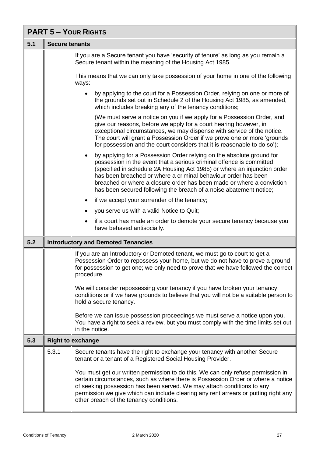| <b>PART 5 - YOUR RIGHTS</b> |                       |                                                                                                                                                                                                                                                                                                                                                                                                                                                         |
|-----------------------------|-----------------------|---------------------------------------------------------------------------------------------------------------------------------------------------------------------------------------------------------------------------------------------------------------------------------------------------------------------------------------------------------------------------------------------------------------------------------------------------------|
| 5.1                         | <b>Secure tenants</b> |                                                                                                                                                                                                                                                                                                                                                                                                                                                         |
|                             |                       | If you are a Secure tenant you have 'security of tenure' as long as you remain a<br>Secure tenant within the meaning of the Housing Act 1985.                                                                                                                                                                                                                                                                                                           |
|                             |                       | This means that we can only take possession of your home in one of the following<br>ways:                                                                                                                                                                                                                                                                                                                                                               |
|                             |                       | by applying to the court for a Possession Order, relying on one or more of<br>the grounds set out in Schedule 2 of the Housing Act 1985, as amended,<br>which includes breaking any of the tenancy conditions;                                                                                                                                                                                                                                          |
|                             |                       | (We must serve a notice on you if we apply for a Possession Order, and<br>give our reasons, before we apply for a court hearing however, in<br>exceptional circumstances, we may dispense with service of the notice.<br>The court will grant a Possession Order if we prove one or more 'grounds<br>for possession and the court considers that it is reasonable to do so');                                                                           |
|                             |                       | by applying for a Possession Order relying on the absolute ground for<br>$\bullet$<br>possession in the event that a serious criminal offence is committed<br>(specified in schedule 2A Housing Act 1985) or where an injunction order<br>has been breached or where a criminal behaviour order has been<br>breached or where a closure order has been made or where a conviction<br>has been secured following the breach of a noise abatement notice; |
|                             |                       | if we accept your surrender of the tenancy;                                                                                                                                                                                                                                                                                                                                                                                                             |
|                             |                       | you serve us with a valid Notice to Quit;                                                                                                                                                                                                                                                                                                                                                                                                               |
|                             |                       | if a court has made an order to demote your secure tenancy because you<br>have behaved antisocially.                                                                                                                                                                                                                                                                                                                                                    |
| 5.2                         |                       | <b>Introductory and Demoted Tenancies</b>                                                                                                                                                                                                                                                                                                                                                                                                               |
|                             |                       | If you are an Introductory or Demoted tenant, we must go to court to get a<br>Possession Order to repossess your home, but we do not have to prove a ground<br>for possession to get one; we only need to prove that we have followed the correct<br>procedure.                                                                                                                                                                                         |
|                             |                       | We will consider repossessing your tenancy if you have broken your tenancy<br>conditions or if we have grounds to believe that you will not be a suitable person to<br>hold a secure tenancy.                                                                                                                                                                                                                                                           |
|                             |                       | Before we can issue possession proceedings we must serve a notice upon you.<br>You have a right to seek a review, but you must comply with the time limits set out<br>in the notice.                                                                                                                                                                                                                                                                    |
| 5.3                         |                       | <b>Right to exchange</b>                                                                                                                                                                                                                                                                                                                                                                                                                                |
|                             | 5.3.1                 | Secure tenants have the right to exchange your tenancy with another Secure<br>tenant or a tenant of a Registered Social Housing Provider.                                                                                                                                                                                                                                                                                                               |
|                             |                       | You must get our written permission to do this. We can only refuse permission in<br>certain circumstances, such as where there is Possession Order or where a notice<br>of seeking possession has been served. We may attach conditions to any<br>permission we give which can include clearing any rent arrears or putting right any<br>other breach of the tenancy conditions.                                                                        |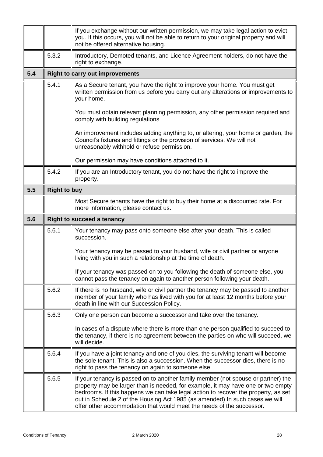|     |                     | If you exchange without our written permission, we may take legal action to evict<br>you. If this occurs, you will not be able to return to your original property and will<br>not be offered alternative housing.                                                                                                                                                                                                   |
|-----|---------------------|----------------------------------------------------------------------------------------------------------------------------------------------------------------------------------------------------------------------------------------------------------------------------------------------------------------------------------------------------------------------------------------------------------------------|
|     | 5.3.2               | Introductory, Demoted tenants, and Licence Agreement holders, do not have the<br>right to exchange.                                                                                                                                                                                                                                                                                                                  |
| 5.4 |                     | <b>Right to carry out improvements</b>                                                                                                                                                                                                                                                                                                                                                                               |
|     | 5.4.1               | As a Secure tenant, you have the right to improve your home. You must get<br>written permission from us before you carry out any alterations or improvements to<br>your home.                                                                                                                                                                                                                                        |
|     |                     | You must obtain relevant planning permission, any other permission required and<br>comply with building regulations                                                                                                                                                                                                                                                                                                  |
|     |                     | An improvement includes adding anything to, or altering, your home or garden, the<br>Council's fixtures and fittings or the provision of services. We will not<br>unreasonably withhold or refuse permission.                                                                                                                                                                                                        |
|     |                     | Our permission may have conditions attached to it.                                                                                                                                                                                                                                                                                                                                                                   |
|     | 5.4.2               | If you are an Introductory tenant, you do not have the right to improve the<br>property.                                                                                                                                                                                                                                                                                                                             |
| 5.5 | <b>Right to buy</b> |                                                                                                                                                                                                                                                                                                                                                                                                                      |
|     |                     | Most Secure tenants have the right to buy their home at a discounted rate. For<br>more information, please contact us.                                                                                                                                                                                                                                                                                               |
| 5.6 |                     | <b>Right to succeed a tenancy</b>                                                                                                                                                                                                                                                                                                                                                                                    |
|     | 5.6.1               | Your tenancy may pass onto someone else after your death. This is called<br>succession.                                                                                                                                                                                                                                                                                                                              |
|     |                     | Your tenancy may be passed to your husband, wife or civil partner or anyone<br>living with you in such a relationship at the time of death.                                                                                                                                                                                                                                                                          |
|     |                     | If your tenancy was passed on to you following the death of someone else, you<br>cannot pass the tenancy on again to another person following your death.                                                                                                                                                                                                                                                            |
|     | 5.6.2               | If there is no husband, wife or civil partner the tenancy may be passed to another<br>member of your family who has lived with you for at least 12 months before your<br>death in line with our Succession Policy.                                                                                                                                                                                                   |
|     | 5.6.3               | Only one person can become a successor and take over the tenancy.                                                                                                                                                                                                                                                                                                                                                    |
|     |                     | In cases of a dispute where there is more than one person qualified to succeed to<br>the tenancy, if there is no agreement between the parties on who will succeed, we<br>will decide.                                                                                                                                                                                                                               |
|     | 5.6.4               | If you have a joint tenancy and one of you dies, the surviving tenant will become<br>the sole tenant. This is also a succession. When the successor dies, there is no<br>right to pass the tenancy on again to someone else.                                                                                                                                                                                         |
|     | 5.6.5               | If your tenancy is passed on to another family member (not spouse or partner) the<br>property may be larger than is needed, for example, it may have one or two empty<br>bedrooms. If this happens we can take legal action to recover the property, as set<br>out in Schedule 2 of the Housing Act 1985 (as amended) In such cases we will<br>offer other accommodation that would meet the needs of the successor. |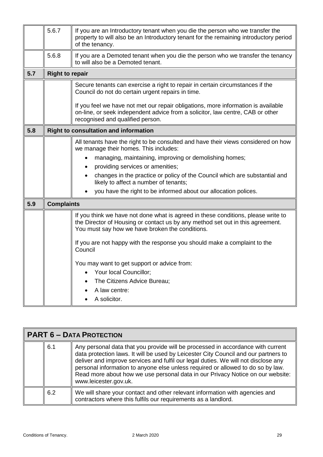|     | 5.6.7                  | If you are an Introductory tenant when you die the person who we transfer the<br>property to will also be an Introductory tenant for the remaining introductory period<br>of the tenancy.                              |
|-----|------------------------|------------------------------------------------------------------------------------------------------------------------------------------------------------------------------------------------------------------------|
|     | 5.6.8                  | If you are a Demoted tenant when you die the person who we transfer the tenancy<br>to will also be a Demoted tenant.                                                                                                   |
| 5.7 | <b>Right to repair</b> |                                                                                                                                                                                                                        |
|     |                        | Secure tenants can exercise a right to repair in certain circumstances if the<br>Council do not do certain urgent repairs in time.                                                                                     |
|     |                        | If you feel we have not met our repair obligations, more information is available<br>on-line, or seek independent advice from a solicitor, law centre, CAB or other<br>recognised and qualified person.                |
| 5.8 |                        | <b>Right to consultation and information</b>                                                                                                                                                                           |
|     |                        | All tenants have the right to be consulted and have their views considered on how<br>we manage their homes. This includes:                                                                                             |
|     |                        | managing, maintaining, improving or demolishing homes;                                                                                                                                                                 |
|     |                        | providing services or amenities;<br>$\bullet$<br>changes in the practice or policy of the Council which are substantial and<br>likely to affect a number of tenants;                                                   |
|     |                        | you have the right to be informed about our allocation polices.                                                                                                                                                        |
| 5.9 | <b>Complaints</b>      |                                                                                                                                                                                                                        |
|     |                        | If you think we have not done what is agreed in these conditions, please write to<br>the Director of Housing or contact us by any method set out in this agreement.<br>You must say how we have broken the conditions. |
|     |                        | If you are not happy with the response you should make a complaint to the<br>Council                                                                                                                                   |
|     |                        | You may want to get support or advice from:                                                                                                                                                                            |
|     |                        | Your local Councillor;<br>$\bullet$                                                                                                                                                                                    |
|     |                        | The Citizens Advice Bureau;<br>$\bullet$                                                                                                                                                                               |
|     |                        | A law centre:                                                                                                                                                                                                          |
|     |                        | A solicitor.                                                                                                                                                                                                           |

| <b>PART 6 - DATA PROTECTION</b> |     |                                                                                                                                                                                                                                                                                                                                                                                                                                                            |
|---------------------------------|-----|------------------------------------------------------------------------------------------------------------------------------------------------------------------------------------------------------------------------------------------------------------------------------------------------------------------------------------------------------------------------------------------------------------------------------------------------------------|
|                                 | 6.1 | Any personal data that you provide will be processed in accordance with current<br>data protection laws. It will be used by Leicester City Council and our partners to<br>deliver and improve services and fulfil our legal duties. We will not disclose any<br>personal information to anyone else unless required or allowed to do so by law.<br>Read more about how we use personal data in our Privacy Notice on our website:<br>www.leicester.gov.uk. |
|                                 | 6.2 | We will share your contact and other relevant information with agencies and<br>contractors where this fulfils our requirements as a landlord.                                                                                                                                                                                                                                                                                                              |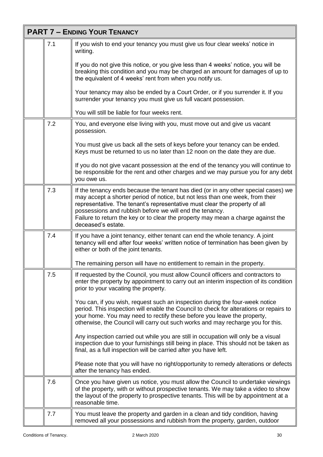| <b>PART 7 - ENDING YOUR TENANCY</b> |     |                                                                                                                                                                                                                                                                                                                                                                                                                        |
|-------------------------------------|-----|------------------------------------------------------------------------------------------------------------------------------------------------------------------------------------------------------------------------------------------------------------------------------------------------------------------------------------------------------------------------------------------------------------------------|
|                                     | 7.1 | If you wish to end your tenancy you must give us four clear weeks' notice in<br>writing.                                                                                                                                                                                                                                                                                                                               |
|                                     |     | If you do not give this notice, or you give less than 4 weeks' notice, you will be<br>breaking this condition and you may be charged an amount for damages of up to<br>the equivalent of 4 weeks' rent from when you notify us.                                                                                                                                                                                        |
|                                     |     | Your tenancy may also be ended by a Court Order, or if you surrender it. If you<br>surrender your tenancy you must give us full vacant possession.                                                                                                                                                                                                                                                                     |
|                                     |     | You will still be liable for four weeks rent.                                                                                                                                                                                                                                                                                                                                                                          |
|                                     | 7.2 | You, and everyone else living with you, must move out and give us vacant<br>possession.                                                                                                                                                                                                                                                                                                                                |
|                                     |     | You must give us back all the sets of keys before your tenancy can be ended.<br>Keys must be returned to us no later than 12 noon on the date they are due.                                                                                                                                                                                                                                                            |
|                                     |     | If you do not give vacant possession at the end of the tenancy you will continue to<br>be responsible for the rent and other charges and we may pursue you for any debt<br>you owe us.                                                                                                                                                                                                                                 |
|                                     | 7.3 | If the tenancy ends because the tenant has died (or in any other special cases) we<br>may accept a shorter period of notice, but not less than one week, from their<br>representative. The tenant's representative must clear the property of all<br>possessions and rubbish before we will end the tenancy.<br>Failure to return the key or to clear the property may mean a charge against the<br>deceased's estate. |
|                                     | 7.4 | If you have a joint tenancy, either tenant can end the whole tenancy. A joint<br>tenancy will end after four weeks' written notice of termination has been given by<br>either or both of the joint tenants.                                                                                                                                                                                                            |
|                                     |     | The remaining person will have no entitlement to remain in the property.                                                                                                                                                                                                                                                                                                                                               |
|                                     | 7.5 | If requested by the Council, you must allow Council officers and contractors to<br>enter the property by appointment to carry out an interim inspection of its condition<br>prior to your vacating the property.                                                                                                                                                                                                       |
|                                     |     | You can, if you wish, request such an inspection during the four-week notice<br>period. This inspection will enable the Council to check for alterations or repairs to<br>your home. You may need to rectify these before you leave the property,<br>otherwise, the Council will carry out such works and may recharge you for this.                                                                                   |
|                                     |     | Any inspection carried out while you are still in occupation will only be a visual<br>inspection due to your furnishings still being in place. This should not be taken as<br>final, as a full inspection will be carried after you have left.                                                                                                                                                                         |
|                                     |     | Please note that you will have no right/opportunity to remedy alterations or defects<br>after the tenancy has ended.                                                                                                                                                                                                                                                                                                   |
|                                     | 7.6 | Once you have given us notice, you must allow the Council to undertake viewings<br>of the property, with or without prospective tenants. We may take a video to show<br>the layout of the property to prospective tenants. This will be by appointment at a<br>reasonable time.                                                                                                                                        |
|                                     | 7.7 | You must leave the property and garden in a clean and tidy condition, having<br>removed all your possessions and rubbish from the property, garden, outdoor                                                                                                                                                                                                                                                            |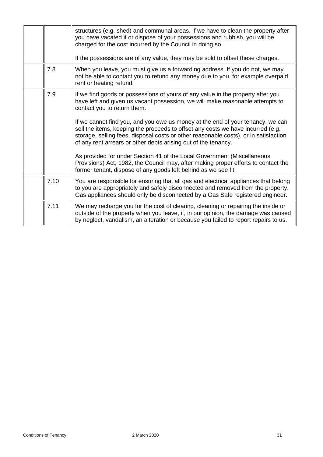|      | structures (e.g. shed) and communal areas. If we have to clean the property after<br>you have vacated it or dispose of your possessions and rubbish, you will be<br>charged for the cost incurred by the Council in doing so.<br>If the possessions are of any value, they may be sold to offset these charges.                                                                                                                                                                                                                                                                                                                                                                                                                                                   |
|------|-------------------------------------------------------------------------------------------------------------------------------------------------------------------------------------------------------------------------------------------------------------------------------------------------------------------------------------------------------------------------------------------------------------------------------------------------------------------------------------------------------------------------------------------------------------------------------------------------------------------------------------------------------------------------------------------------------------------------------------------------------------------|
| 7.8  | When you leave, you must give us a forwarding address. If you do not, we may<br>not be able to contact you to refund any money due to you, for example overpaid<br>rent or heating refund.                                                                                                                                                                                                                                                                                                                                                                                                                                                                                                                                                                        |
| 7.9  | If we find goods or possessions of yours of any value in the property after you<br>have left and given us vacant possession, we will make reasonable attempts to<br>contact you to return them.<br>If we cannot find you, and you owe us money at the end of your tenancy, we can<br>sell the items, keeping the proceeds to offset any costs we have incurred (e.g.<br>storage, selling fees, disposal costs or other reasonable costs), or in satisfaction<br>of any rent arrears or other debts arising out of the tenancy.<br>As provided for under Section 41 of the Local Government (Miscellaneous<br>Provisions) Act, 1982, the Council may, after making proper efforts to contact the<br>former tenant, dispose of any goods left behind as we see fit. |
| 7.10 | You are responsible for ensuring that all gas and electrical appliances that belong<br>to you are appropriately and safely disconnected and removed from the property.<br>Gas appliances should only be disconnected by a Gas Safe registered engineer.                                                                                                                                                                                                                                                                                                                                                                                                                                                                                                           |
| 7.11 | We may recharge you for the cost of clearing, cleaning or repairing the inside or<br>outside of the property when you leave, if, in our opinion, the damage was caused<br>by neglect, vandalism, an alteration or because you failed to report repairs to us.                                                                                                                                                                                                                                                                                                                                                                                                                                                                                                     |